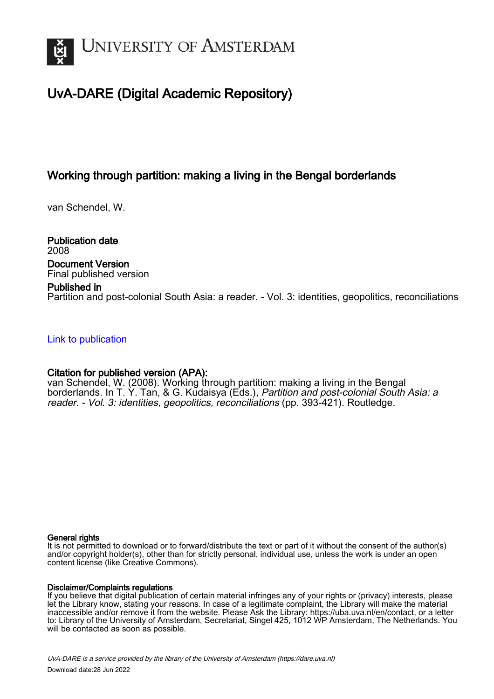

# UvA-DARE (Digital Academic Repository)

# Working through partition: making a living in the Bengal borderlands

van Schendel, W.

Publication date 2008 Document Version Final published version

### Published in

Partition and post-colonial South Asia: a reader. - Vol. 3: identities, geopolitics, reconciliations

## [Link to publication](https://dare.uva.nl/personal/pure/en/publications/working-through-partition-making-a-living-in-the-bengal-borderlands(19f70352-d4a8-417f-8879-526cc2cbc1f8).html)

## Citation for published version (APA):

van Schendel, W. (2008). Working through partition: making a living in the Bengal borderlands. In T. Y. Tan, & G. Kudaisya (Eds.), Partition and post-colonial South Asia: a reader. - Vol. 3: identities, geopolitics, reconciliations (pp. 393-421). Routledge.

### General rights

It is not permitted to download or to forward/distribute the text or part of it without the consent of the author(s) and/or copyright holder(s), other than for strictly personal, individual use, unless the work is under an open content license (like Creative Commons).

### Disclaimer/Complaints regulations

If you believe that digital publication of certain material infringes any of your rights or (privacy) interests, please let the Library know, stating your reasons. In case of a legitimate complaint, the Library will make the material inaccessible and/or remove it from the website. Please Ask the Library: https://uba.uva.nl/en/contact, or a letter to: Library of the University of Amsterdam, Secretariat, Singel 425, 1012 WP Amsterdam, The Netherlands. You will be contacted as soon as possible.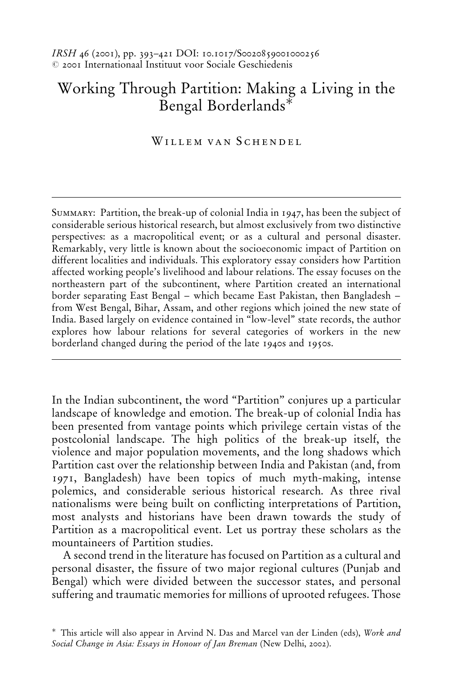## Working Through Partition: Making a Living in the Bengal Borderlands

Willem van Schendel

SUMMARY: Partition, the break-up of colonial India in  $1947$ , has been the subject of considerable serious historical research, but almost exclusively from two distinctive perspectives: as a macropolitical event; or as a cultural and personal disaster. Remarkably, very little is known about the socioeconomic impact of Partition on different localities and individuals. This exploratory essay considers how Partition affected working people's livelihood and labour relations. The essay focuses on the northeastern part of the subcontinent, where Partition created an international border separating East Bengal – which became East Pakistan, then Bangladesh – from West Bengal, Bihar, Assam, and other regions which joined the new state of India. Based largely on evidence contained in "low-level" state records, the author explores how labour relations for several categories of workers in the new borderland changed during the period of the late 1940s and 1950s.

In the Indian subcontinent, the word "Partition" conjures up a particular landscape of knowledge and emotion. The break-up of colonial India has been presented from vantage points which privilege certain vistas of the postcolonial landscape. The high politics of the break-up itself, the violence and major population movements, and the long shadows which Partition cast over the relationship between India and Pakistan (and, from 1971, Bangladesh) have been topics of much myth-making, intense polemics, and considerable serious historical research. As three rival nationalisms were being built on conflicting interpretations of Partition, most analysts and historians have been drawn towards the study of Partition as a macropolitical event. Let us portray these scholars as the mountaineers of Partition studies.

A second trend in the literature has focused on Partition as a cultural and personal disaster, the fissure of two major regional cultures (Punjab and Bengal) which were divided between the successor states, and personal suffering and traumatic memories for millions of uprooted refugees. Those

This article will also appear in Arvind N. Das and Marcel van der Linden (eds), Work and Social Change in Asia: Essays in Honour of Jan Breman (New Delhi, 2002).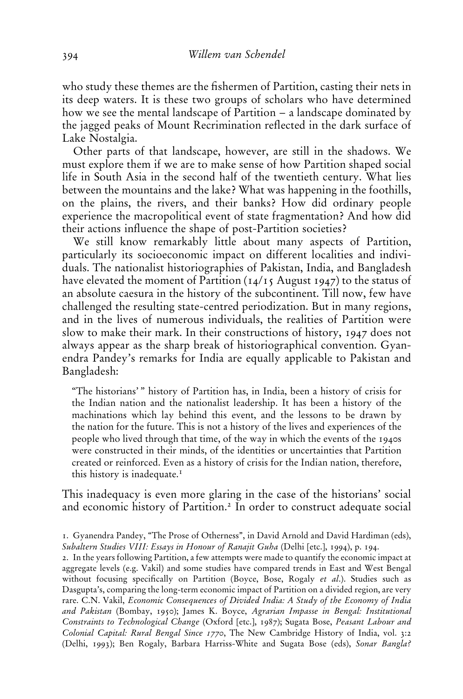who study these themes are the fishermen of Partition, casting their nets in its deep waters. It is these two groups of scholars who have determined how we see the mental landscape of Partition  $-$  a landscape dominated by the jagged peaks of Mount Recrimination reflected in the dark surface of Lake Nostalgia.

Other parts of that landscape, however, are still in the shadows. We must explore them if we are to make sense of how Partition shaped social life in South Asia in the second half of the twentieth century. What lies between the mountains and the lake? What was happening in the foothills, on the plains, the rivers, and their banks? How did ordinary people experience the macropolitical event of state fragmentation? And how did their actions influence the shape of post-Partition societies?

We still know remarkably little about many aspects of Partition, particularly its socioeconomic impact on different localities and individuals. The nationalist historiographies of Pakistan, India, and Bangladesh have elevated the moment of Partition  $(14/15$  August 1947) to the status of an absolute caesura in the history of the subcontinent. Till now, few have challenged the resulting state-centred periodization. But in many regions, and in the lives of numerous individuals, the realities of Partition were slow to make their mark. In their constructions of history, 1947 does not always appear as the sharp break of historiographical convention. Gyanendra Pandey's remarks for India are equally applicable to Pakistan and Bangladesh:

``The historians' '' history of Partition has, in India, been a history of crisis for the Indian nation and the nationalist leadership. It has been a history of the machinations which lay behind this event, and the lessons to be drawn by the nation for the future. This is not a history of the lives and experiences of the people who lived through that time, of the way in which the events of the 1940s were constructed in their minds, of the identities or uncertainties that Partition created or reinforced. Even as a history of crisis for the Indian nation, therefore, this history is inadequate.<sup>1</sup>

This inadequacy is even more glaring in the case of the historians' social and economic history of Partition.<sup>2</sup> In order to construct adequate social

<sup>1.</sup> Gyanendra Pandey, "The Prose of Otherness", in David Arnold and David Hardiman (eds), Subaltern Studies VIII: Essays in Honour of Ranajit Guha (Delhi [etc.], 1994), p. 194.

<sup>2.</sup> In the years following Partition, a few attempts were made to quantify the economic impact at aggregate levels (e.g. Vakil) and some studies have compared trends in East and West Bengal without focusing specifically on Partition (Boyce, Bose, Rogaly et al.). Studies such as Dasgupta's, comparing the long-term economic impact of Partition on a divided region, are very rare. C.N. Vakil, Economic Consequences of Divided India: A Study of the Economy of India and Pakistan (Bombay, 1950); James K. Boyce, Agrarian Impasse in Bengal: Institutional Constraints to Technological Change (Oxford [etc.], 1987); Sugata Bose, Peasant Labour and Colonial Capital: Rural Bengal Since 1770, The New Cambridge History of India, vol. 3:2 (Delhi, 1993); Ben Rogaly, Barbara Harriss-White and Sugata Bose (eds), Sonar Bangla?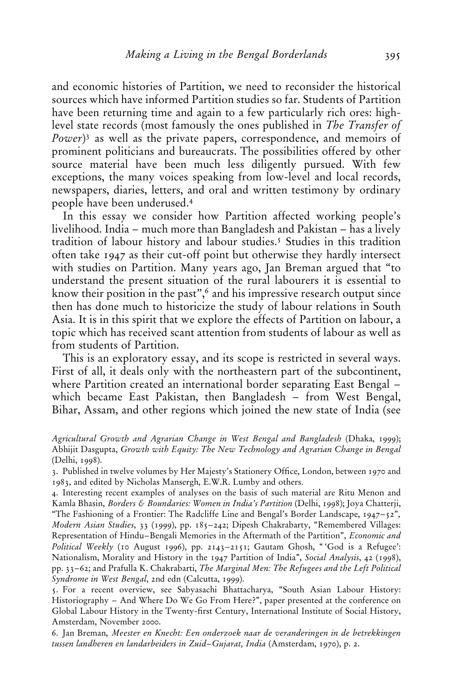and economic histories of Partition, we need to reconsider the historical sources which have informed Partition studies so far. Students of Partition have been returning time and again to a few particularly rich ores: highlevel state records (most famously the ones published in The Transfer of Power)<sup>3</sup> as well as the private papers, correspondence, and memoirs of prominent politicians and bureaucrats. The possibilities offered by other source material have been much less diligently pursued. With few exceptions, the many voices speaking from low-level and local records, newspapers, diaries, letters, and oral and written testimony by ordinary people have been underused.4

In this essay we consider how Partition affected working people's livelihood. India – much more than Bangladesh and Pakistan – has a lively tradition of labour history and labour studies.<sup>5</sup> Studies in this tradition often take 1947 as their cut-off point but otherwise they hardly intersect with studies on Partition. Many years ago, Jan Breman argued that "to understand the present situation of the rural labourers it is essential to know their position in the past", $6$  and his impressive research output since then has done much to historicize the study of labour relations in South Asia. It is in this spirit that we explore the effects of Partition on labour, a topic which has received scant attention from students of labour as well as from students of Partition.

This is an exploratory essay, and its scope is restricted in several ways. First of all, it deals only with the northeastern part of the subcontinent, where Partition created an international border separating East Bengal which became East Pakistan, then Bangladesh - from West Bengal, Bihar, Assam, and other regions which joined the new state of India (see

Agricultural Growth and Agrarian Change in West Bengal and Bangladesh (Dhaka, 1999); Abhijit Dasgupta, Growth with Equity: The New Technology and Agrarian Change in Bengal (Delhi, 1998).

3. Published in twelve volumes by Her Majesty's Stationery Office, London, between 1970 and 1983, and edited by Nicholas Mansergh, E.W.R. Lumby and others.

4. Interesting recent examples of analyses on the basis of such material are Ritu Menon and Kamla Bhasin, Borders & Boundaries: Women in India's Partition (Delhi, 1998); Joya Chatterji, "The Fashioning of a Frontier: The Radcliffe Line and Bengal's Border Landscape,  $1947-52$ ", Modern Asian Studies, 33 (1999), pp. 185-242; Dipesh Chakrabarty, "Remembered Villages: Representation of Hindu-Bengali Memories in the Aftermath of the Partition", Economic and Political Weekly (10 August 1996), pp. 2143-2151; Gautam Ghosh, "'God is a Refugee': Nationalism, Morality and History in the 1947 Partition of India", Social Analysis, 42 (1998), pp. 33-62; and Prafulla K. Chakrabarti, The Marginal Men: The Refugees and the Left Political Syndrome in West Bengal, 2nd edn (Calcutta, 1999).

5. For a recent overview, see Sabyasachi Bhattacharya, "South Asian Labour History: Historiography - And Where Do We Go From Here?", paper presented at the conference on Global Labour History in the Twenty-first Century, International Institute of Social History, Amsterdam, November 2000.

6. Jan Breman, Meester en Knecht: Een onderzoek naar de veranderingen in de betrekkingen tussen landheren en landarbeiders in Zuid-Gujarat, India (Amsterdam, 1970), p. 2.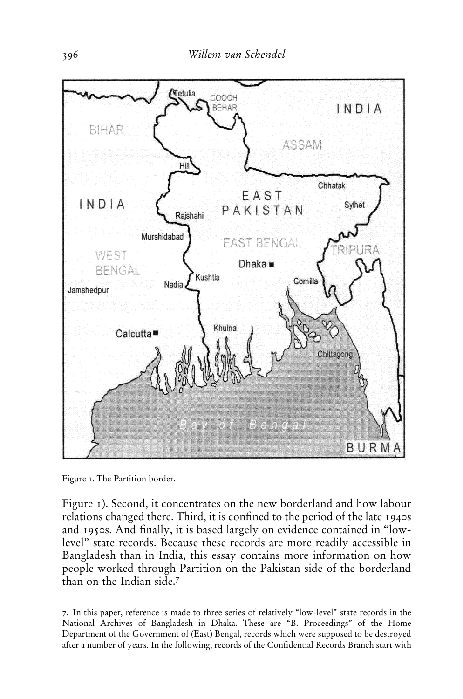<span id="page-4-0"></span>

Figure 1. The Partition border.

Figure 1). Second, it concentrates on the new borderland and how labour relations changed there. Third, it is confined to the period of the late 1940s and 1950s. And finally, it is based largely on evidence contained in "lowlevel'' state records. Because these records are more readily accessible in Bangladesh than in India, this essay contains more information on how people worked through Partition on the Pakistan side of the borderland than on the Indian side.<sup>7</sup>

7. In this paper, reference is made to three series of relatively "low-level" state records in the National Archives of Bangladesh in Dhaka. These are "B. Proceedings" of the Home Department of the Government of (East) Bengal, records which were supposed to be destroyed after a number of years. In the following, records of the Confidential Records Branch start with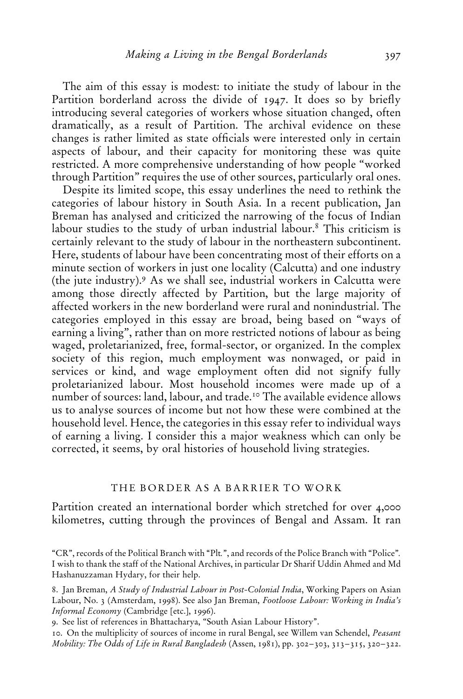The aim of this essay is modest: to initiate the study of labour in the Partition borderland across the divide of 1947. It does so by briefly introducing several categories of workers whose situation changed, often dramatically, as a result of Partition. The archival evidence on these changes is rather limited as state officials were interested only in certain aspects of labour, and their capacity for monitoring these was quite restricted. A more comprehensive understanding of how people "worked" through Partition'' requires the use of other sources, particularly oral ones.

Despite its limited scope, this essay underlines the need to rethink the categories of labour history in South Asia. In a recent publication, Jan Breman has analysed and criticized the narrowing of the focus of Indian labour studies to the study of urban industrial labour.<sup>8</sup> This criticism is certainly relevant to the study of labour in the northeastern subcontinent. Here, students of labour have been concentrating most of their efforts on a minute section of workers in just one locality (Calcutta) and one industry (the jute industry).<sup>9</sup> As we shall see, industrial workers in Calcutta were among those directly affected by Partition, but the large majority of affected workers in the new borderland were rural and nonindustrial. The categories employed in this essay are broad, being based on "ways of earning a living'', rather than on more restricted notions of labour as being waged, proletarianized, free, formal-sector, or organized. In the complex society of this region, much employment was nonwaged, or paid in services or kind, and wage employment often did not signify fully proletarianized labour. Most household incomes were made up of a number of sources: land, labour, and trade.<sup>10</sup> The available evidence allows us to analyse sources of income but not how these were combined at the household level. Hence, the categories in this essay refer to individual ways of earning a living. I consider this a major weakness which can only be corrected, it seems, by oral histories of household living strategies.

#### THE BORDER AS A BARRIER TO WORK

Partition created an international border which stretched for over 4,000 kilometres, cutting through the provinces of Bengal and Assam. It ran

<sup>``</sup>CR'', records of the Political Branch with ``Plt.'', and records of the Police Branch with ``Police''. I wish to thank the staff of the National Archives, in particular Dr Sharif Uddin Ahmed and Md Hashanuzzaman Hydary, for their help.

<sup>8.</sup> Jan Breman, A Study of Industrial Labour in Post-Colonial India, Working Papers on Asian Labour, No. 3 (Amsterdam, 1998). See also Jan Breman, Footloose Labour: Working in India's Informal Economy (Cambridge [etc.], 1996).

<sup>9.</sup> See list of references in Bhattacharya, "South Asian Labour History".

<sup>10.</sup> On the multiplicity of sources of income in rural Bengal, see Willem van Schendel, Peasant Mobility: The Odds of Life in Rural Bangladesh (Assen, 1981), pp. 302-303, 313-315, 320-322.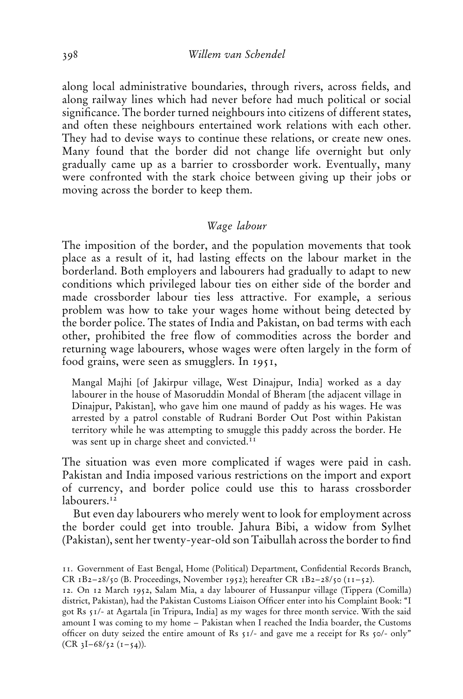along local administrative boundaries, through rivers, across fields, and along railway lines which had never before had much political or social significance. The border turned neighbours into citizens of different states, and often these neighbours entertained work relations with each other. They had to devise ways to continue these relations, or create new ones. Many found that the border did not change life overnight but only gradually came up as a barrier to crossborder work. Eventually, many were confronted with the stark choice between giving up their jobs or moving across the border to keep them.

#### Wage labour

The imposition of the border, and the population movements that took place as a result of it, had lasting effects on the labour market in the borderland. Both employers and labourers had gradually to adapt to new conditions which privileged labour ties on either side of the border and made crossborder labour ties less attractive. For example, a serious problem was how to take your wages home without being detected by the border police. The states of India and Pakistan, on bad terms with each other, prohibited the free flow of commodities across the border and returning wage labourers, whose wages were often largely in the form of food grains, were seen as smugglers. In 1951,

Mangal Majhi [of Jakirpur village, West Dinajpur, India] worked as a day labourer in the house of Masoruddin Mondal of Bheram [the adjacent village in Dinajpur, Pakistan], who gave him one maund of paddy as his wages. He was arrested by a patrol constable of Rudrani Border Out Post within Pakistan territory while he was attempting to smuggle this paddy across the border. He was sent up in charge sheet and convicted.<sup>11</sup>

The situation was even more complicated if wages were paid in cash. Pakistan and India imposed various restrictions on the import and export of currency, and border police could use this to harass crossborder labourers.<sup>12</sup>

But even day labourers who merely went to look for employment across the border could get into trouble. Jahura Bibi, a widow from Sylhet (Pakistan), sent her twenty-year-old son Taibullah across the border to find

<sup>11.</sup> Government of East Bengal, Home (Political) Department, Confidential Records Branch, CR  $IB2-28/\varsigma$ o (B. Proceedings, November 1952); hereafter CR  $IB2-28/\varsigma$ o (11–52).

<sup>12.</sup> On 12 March 1952, Salam Mia, a day labourer of Hussanpur village (Tippera (Comilla) district, Pakistan), had the Pakistan Customs Liaison Officer enter into his Complaint Book: "I got Rs 51/- at Agartala [in Tripura, India] as my wages for three month service. With the said amount I was coming to my home - Pakistan when I reached the India boarder, the Customs officer on duty seized the entire amount of Rs  $51/-$  and gave me a receipt for Rs  $50/-$  only"  $(CR \frac{3I-68}{52} (1-54)).$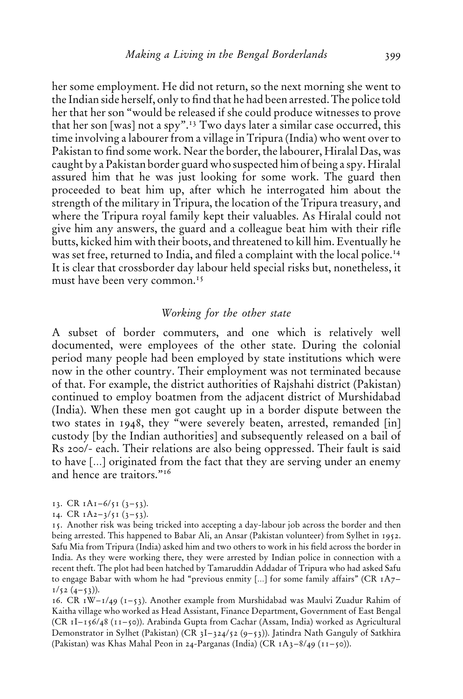her some employment. He did not return, so the next morning she went to the Indian side herself, only to find that he had been arrested. The police told her that her son "would be released if she could produce witnesses to prove that her son [was] not a spy".<sup>13</sup> Two days later a similar case occurred, this time involving a labourer from a village in Tripura (India) who went over to Pakistan to find some work. Near the border, the labourer, Hiralal Das, was caught by a Pakistan border guard who suspected him of being a spy. Hiralal assured him that he was just looking for some work. The guard then proceeded to beat him up, after which he interrogated him about the strength of the military in Tripura, the location of the Tripura treasury, and where the Tripura royal family kept their valuables. As Hiralal could not give him any answers, the guard and a colleague beat him with their rifle butts, kicked him with their boots, and threatened to kill him. Eventually he was set free, returned to India, and filed a complaint with the local police.<sup>14</sup> It is clear that crossborder day labour held special risks but, nonetheless, it must have been very common.<sup>15</sup>

### Working for the other state

A subset of border commuters, and one which is relatively well documented, were employees of the other state. During the colonial period many people had been employed by state institutions which were now in the other country. Their employment was not terminated because of that. For example, the district authorities of Rajshahi district (Pakistan) continued to employ boatmen from the adjacent district of Murshidabad (India). When these men got caught up in a border dispute between the two states in 1948, they "were severely beaten, arrested, remanded [in] custody [by the Indian authorities] and subsequently released on a bail of Rs 200/- each. Their relations are also being oppressed. Their fault is said to have [...] originated from the fact that they are serving under an enemy and hence are traitors.''<sup>16</sup>

13. CR  $1A1-6/51$  (3-53).

14. CR  $1A2-3/51$  (3-53).

15. Another risk was being tricked into accepting a day-labour job across the border and then being arrested. This happened to Babar Ali, an Ansar (Pakistan volunteer) from Sylhet in 1952. Safu Mia from Tripura (India) asked him and two others to work in his field across the border in India. As they were working there, they were arrested by Indian police in connection with a recent theft. The plot had been hatched by Tamaruddin Addadar of Tripura who had asked Safu to engage Babar with whom he had "previous enmity  $[...]$  for some family affairs" (CR 1A7 $1/52$   $(4-53)$ ).

16. CR 1W $-Y$ 49 (1-53). Another example from Murshidabad was Maulvi Zuadur Rahim of Kaitha village who worked as Head Assistant, Finance Department, Government of East Bengal (CR 1I±156/48 (11±50)). Arabinda Gupta from Cachar (Assam, India) worked as Agricultural Demonstrator in Sylhet (Pakistan) (CR 3I-324/52 (9-53)). Jatindra Nath Ganguly of Satkhira (Pakistan) was Khas Mahal Peon in 24-Parganas (India) (CR  $IA3-8/49$  ( $II-50$ )).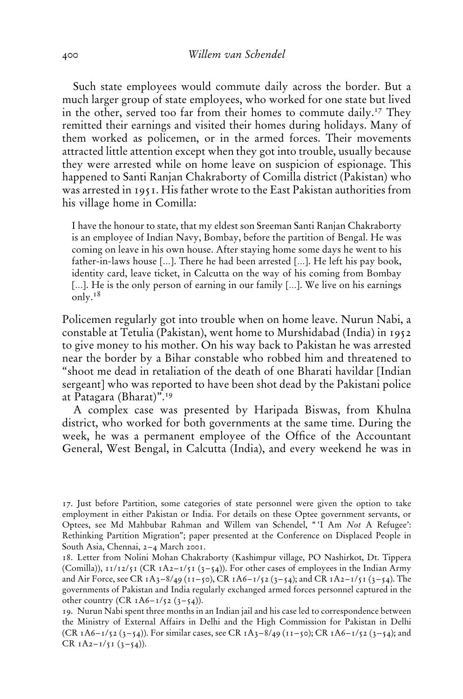Such state employees would commute daily across the border. But a much larger group of state employees, who worked for one state but lived in the other, served too far from their homes to commute daily.<sup>17</sup> They remitted their earnings and visited their homes during holidays. Many of them worked as policemen, or in the armed forces. Their movements attracted little attention except when they got into trouble, usually because they were arrested while on home leave on suspicion of espionage. This happened to Santi Ranjan Chakraborty of Comilla district (Pakistan) who was arrested in 1951. His father wrote to the East Pakistan authorities from his village home in Comilla:

I have the honour to state, that my eldest son Sreeman Santi Ranjan Chakraborty is an employee of Indian Navy, Bombay, before the partition of Bengal. He was coming on leave in his own house. After staying home some days he went to his father-in-laws house [...]. There he had been arrested [...]. He left his pay book, identity card, leave ticket, in Calcutta on the way of his coming from Bombay [...]. He is the only person of earning in our family [...]. We live on his earnings only.<sup>18</sup>

Policemen regularly got into trouble when on home leave. Nurun Nabi, a constable at Tetulia (Pakistan), went home to Murshidabad (India) in 1952 to give money to his mother. On his way back to Pakistan he was arrested near the border by a Bihar constable who robbed him and threatened to ``shoot me dead in retaliation of the death of one Bharati havildar [Indian sergeant] who was reported to have been shot dead by the Pakistani police at Patagara (Bharat)''.19

A complex case was presented by Haripada Biswas, from Khulna district, who worked for both governments at the same time. During the week, he was a permanent employee of the Office of the Accountant General, West Bengal, in Calcutta (India), and every weekend he was in

<sup>17.</sup> Just before Partition, some categories of state personnel were given the option to take employment in either Pakistan or India. For details on these Optee government servants, or Optees, see Md Mahbubar Rahman and Willem van Schendel, "'I Am Not A Refugee': Rethinking Partition Migration''; paper presented at the Conference on Displaced People in South Asia, Chennai, 2-4 March 2001.

<sup>18.</sup> Letter from Nolini Mohan Chakraborty (Kashimpur village, PO Nashirkot, Dt. Tippera (Comilla)),  $11/12/51$  (CR  $1A2-1/51$  (3-54)). For other cases of employees in the Indian Army and Air Force, see CR  $IA3-8/49$  ( $II-50$ ), CR  $IA6-1/52$  ( $3-54$ ); and CR  $IA2-1/51$  ( $3-54$ ). The governments of Pakistan and India regularly exchanged armed forces personnel captured in the other country (CR  $1A6-I/52$  (3-54)).

<sup>19.</sup> Nurun Nabi spent three months in an Indian jail and his case led to correspondence between the Ministry of External Affairs in Delhi and the High Commission for Pakistan in Delhi (CR 1A6-1/52 (3-54)). For similar cases, see CR 1A3-8/49 (11-50); CR 1A6-1/52 (3-54); and CR  $IA2-I/5I (3-54)$ ).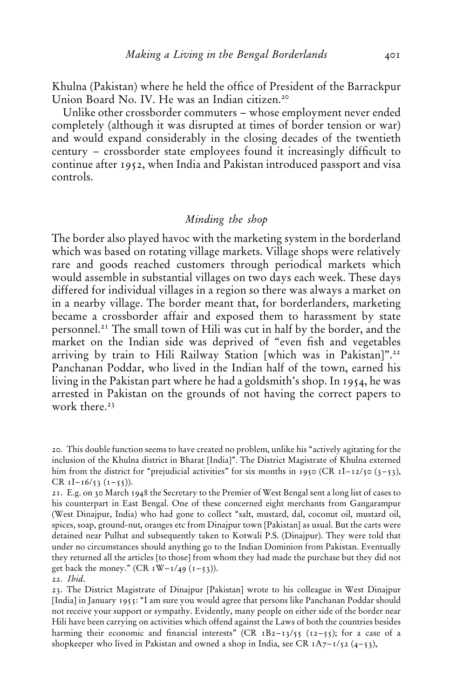Khulna (Pakistan) where he held the office of President of the Barrackpur Union Board No. IV. He was an Indian citizen.<sup>20</sup>

Unlike other crossborder commuters - whose employment never ended completely (although it was disrupted at times of border tension or war) and would expand considerably in the closing decades of the twentieth century – crossborder state employees found it increasingly difficult to continue after 1952, when India and Pakistan introduced passport and visa controls.

#### Minding the shop

The border also played havoc with the marketing system in the borderland which was based on rotating village markets. Village shops were relatively rare and goods reached customers through periodical markets which would assemble in substantial villages on two days each week. These days differed for individual villages in a region so there was always a market on in a nearby village. The border meant that, for borderlanders, marketing became a crossborder affair and exposed them to harassment by state personnel.<sup>21</sup> The small town of Hili was cut in half by the border, and the market on the Indian side was deprived of "even fish and vegetables arriving by train to Hili Railway Station [which was in Pakistan]".<sup>22</sup> Panchanan Poddar, who lived in the Indian half of the town, earned his living in the Pakistan part where he had a goldsmith's shop. In 1954, he was arrested in Pakistan on the grounds of not having the correct papers to work there.<sup>23</sup>

<sup>20.</sup> This double function seems to have created no problem, unlike his "actively agitating for the inclusion of the Khulna district in Bharat [India]''. The District Magistrate of Khulna externed him from the district for "prejudicial activities" for six months in 1950 (CR 1I-12/50 (3-53), CR  $I-I=16/53 (1-55)$ ).

<sup>21.</sup> E.g. on 30 March 1948 the Secretary to the Premier of West Bengal sent a long list of cases to his counterpart in East Bengal. One of these concerned eight merchants from Gangarampur (West Dinajpur, India) who had gone to collect "salt, mustard, dal, coconut oil, mustard oil, spices, soap, ground-nut, oranges etc from Dinajpur town [Pakistan] as usual. But the carts were detained near Pulhat and subsequently taken to Kotwali P.S. (Dinajpur). They were told that under no circumstances should anything go to the Indian Dominion from Pakistan. Eventually they returned all the articles [to those] from whom they had made the purchase but they did not get back the money." (CR  $I W-I/49 (I-53)$ ).

<sup>22.</sup> Ibid.

<sup>23.</sup> The District Magistrate of Dinajpur [Pakistan] wrote to his colleague in West Dinajpur [India] in January 1955: "I am sure you would agree that persons like Panchanan Poddar should not receive your support or sympathy. Evidently, many people on either side of the border near Hili have been carrying on activities which offend against the Laws of both the countries besides harming their economic and financial interests" (CR  $1B2-I3/55$  (12-55); for a case of a shopkeeper who lived in Pakistan and owned a shop in India, see CR  $1A7-I(52 (4-53))$ ,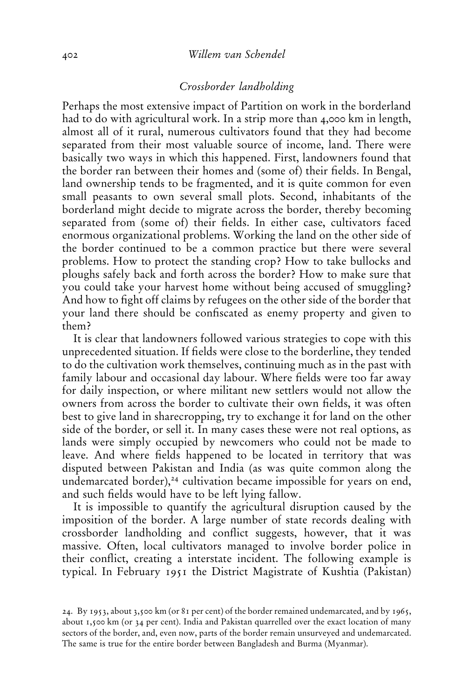#### Crossborder landholding

Perhaps the most extensive impact of Partition on work in the borderland had to do with agricultural work. In a strip more than 4,000 km in length, almost all of it rural, numerous cultivators found that they had become separated from their most valuable source of income, land. There were basically two ways in which this happened. First, landowners found that the border ran between their homes and (some of) their fields. In Bengal, land ownership tends to be fragmented, and it is quite common for even small peasants to own several small plots. Second, inhabitants of the borderland might decide to migrate across the border, thereby becoming separated from (some of) their fields. In either case, cultivators faced enormous organizational problems. Working the land on the other side of the border continued to be a common practice but there were several problems. How to protect the standing crop? How to take bullocks and ploughs safely back and forth across the border? How to make sure that you could take your harvest home without being accused of smuggling? And how to fight off claims by refugees on the other side of the border that your land there should be confiscated as enemy property and given to them?

It is clear that landowners followed various strategies to cope with this unprecedented situation. If fields were close to the borderline, they tended to do the cultivation work themselves, continuing much as in the past with family labour and occasional day labour. Where fields were too far away for daily inspection, or where militant new settlers would not allow the owners from across the border to cultivate their own fields, it was often best to give land in sharecropping, try to exchange it for land on the other side of the border, or sell it. In many cases these were not real options, as lands were simply occupied by newcomers who could not be made to leave. And where fields happened to be located in territory that was disputed between Pakistan and India (as was quite common along the undemarcated border), $24$  cultivation became impossible for years on end, and such fields would have to be left lying fallow.

It is impossible to quantify the agricultural disruption caused by the imposition of the border. A large number of state records dealing with crossborder landholding and conflict suggests, however, that it was massive. Often, local cultivators managed to involve border police in their conflict, creating a interstate incident. The following example is typical. In February 1951 the District Magistrate of Kushtia (Pakistan)

<sup>24.</sup> By 1953, about 3,500 km (or 81 per cent) of the border remained undemarcated, and by 1965, about 1,500 km (or 34 per cent). India and Pakistan quarrelled over the exact location of many sectors of the border, and, even now, parts of the border remain unsurveyed and undemarcated. The same is true for the entire border between Bangladesh and Burma (Myanmar).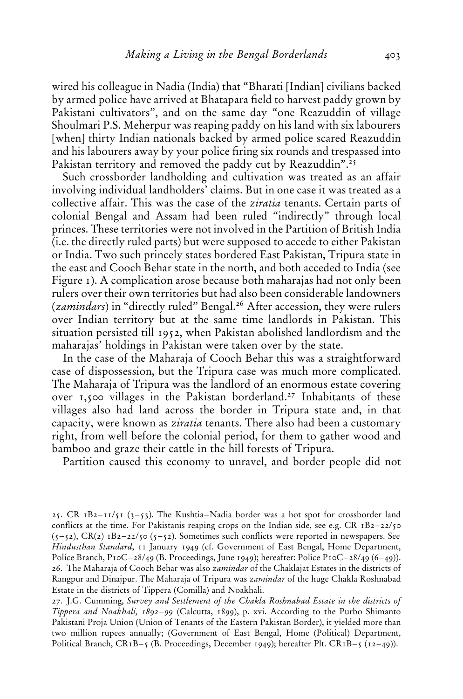wired his colleague in Nadia (India) that ``Bharati [Indian] civilians backed by armed police have arrived at Bhatapara field to harvest paddy grown by Pakistani cultivators", and on the same day "one Reazuddin of village Shoulmari P.S. Meherpur was reaping paddy on his land with six labourers [when] thirty Indian nationals backed by armed police scared Reazuddin and his labourers away by your police firing six rounds and trespassed into Pakistan territory and removed the paddy cut by Reazuddin".<sup>25</sup>

Such crossborder landholding and cultivation was treated as an affair involving individual landholders' claims. But in one case it was treated as a collective affair. This was the case of the ziratia tenants. Certain parts of colonial Bengal and Assam had been ruled "indirectly" through local princes. These territories were not involved in the Partition of British India (i.e. the directly ruled parts) but were supposed to accede to either Pakistan or India. Two such princely states bordered East Pakistan, Tripura state in the east and Cooch Behar state in the north, and both acceded to India (see Figur[e 1\)](#page-4-0). A complication arose because both maharajas had not only been rulers over their own territories but had also been considerable landowners  $(zamindars)$  in "directly ruled" Bengal.<sup>26</sup> After accession, they were rulers over Indian territory but at the same time landlords in Pakistan. This situation persisted till 1952, when Pakistan abolished landlordism and the maharajas' holdings in Pakistan were taken over by the state.

In the case of the Maharaja of Cooch Behar this was a straightforward case of dispossession, but the Tripura case was much more complicated. The Maharaja of Tripura was the landlord of an enormous estate covering over 1,500 villages in the Pakistan borderland.<sup>27</sup> Inhabitants of these villages also had land across the border in Tripura state and, in that capacity, were known as ziratia tenants. There also had been a customary right, from well before the colonial period, for them to gather wood and bamboo and graze their cattle in the hill forests of Tripura.

Partition caused this economy to unravel, and border people did not

27. J.G. Cumming, Survey and Settlement of the Chakla Roshnabad Estate in the districts of Tippera and Noakhali,  $1892-99$  (Calcutta, 1899), p. xvi. According to the Purbo Shimanto Pakistani Proja Union (Union of Tenants of the Eastern Pakistan Border), it yielded more than two million rupees annually; (Government of East Bengal, Home (Political) Department, Political Branch,  $CRIB-\zeta$  (B. Proceedings, December 1949); hereafter Plt.  $CRIB-\zeta$  (12-49)).

<sup>25.</sup> CR  $1B2-I1/51$  (3-53). The Kushtia–Nadia border was a hot spot for crossborder land conflicts at the time. For Pakistanis reaping crops on the Indian side, see e.g. CR  $IB2-22/\sqrt{6}$  $(5-52)$ , CR(2) 1B2-22/50 (5-52). Sometimes such conflicts were reported in newspapers. See Hindusthan Standard, 11 January 1949 (cf. Government of East Bengal, Home Department, Police Branch,  $P_{10}C-28/49$  (B. Proceedings, June 1949); hereafter: Police  $P_{10}C-28/49$  (6-49)). 26. The Maharaja of Cooch Behar was also zamindar of the Chaklajat Estates in the districts of Rangpur and Dinajpur. The Maharaja of Tripura was zamindar of the huge Chakla Roshnabad Estate in the districts of Tippera (Comilla) and Noakhali.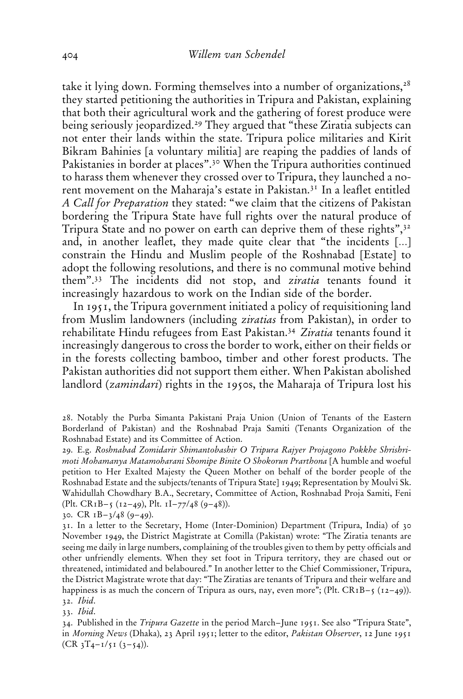take it lying down. Forming themselves into a number of organizations,<sup>28</sup> they started petitioning the authorities in Tripura and Pakistan, explaining that both their agricultural work and the gathering of forest produce were being seriously jeopardized.<sup>29</sup> They argued that "these Ziratia subjects can not enter their lands within the state. Tripura police militaries and Kirit Bikram Bahinies [a voluntary militia] are reaping the paddies of lands of Pakistanies in border at places".<sup>30</sup> When the Tripura authorities continued to harass them whenever they crossed over to Tripura, they launched a norent movement on the Maharaja's estate in Pakistan.<sup>31</sup> In a leaflet entitled A Call for Preparation they stated: "we claim that the citizens of Pakistan bordering the Tripura State have full rights over the natural produce of Tripura State and no power on earth can deprive them of these rights",<sup>32</sup> and, in another leaflet, they made quite clear that "the incidents  $[...]$ constrain the Hindu and Muslim people of the Roshnabad [Estate] to adopt the following resolutions, and there is no communal motive behind them''.33 The incidents did not stop, and ziratia tenants found it increasingly hazardous to work on the Indian side of the border.

In 1951, the Tripura government initiated a policy of requisitioning land from Muslim landowners (including ziratias from Pakistan), in order to rehabilitate Hindu refugees from East Pakistan.<sup>34</sup> Ziratia tenants found it increasingly dangerous to cross the border to work, either on their fields or in the forests collecting bamboo, timber and other forest products. The Pakistan authorities did not support them either. When Pakistan abolished landlord (*zamindari*) rights in the 1950s, the Maharaja of Tripura lost his

30. CR  $1B-3/48$  (9-49).

31. In a letter to the Secretary, Home (Inter-Dominion) Department (Tripura, India) of 30 November 1949, the District Magistrate at Comilla (Pakistan) wrote: "The Ziratia tenants are seeing me daily in large numbers, complaining of the troubles given to them by petty officials and other unfriendly elements. When they set foot in Tripura territory, they are chased out or threatened, intimidated and belaboured.'' In another letter to the Chief Commissioner, Tripura, the District Magistrate wrote that day: "The Ziratias are tenants of Tripura and their welfare and happiness is as much the concern of Tripura as ours, nay, even more"; (Plt.  $CR_1B-\gamma$  (12-49)). 32. Ibid.

33. Ibid.

34. Published in the *Tripura Gazette* in the period March-June 1951. See also "Tripura State", in Morning News (Dhaka), 23 April 1951; letter to the editor, Pakistan Observer, 12 June 1951  $(CR \t3T_4-I/5I \t(3-54)).$ 

<sup>28.</sup> Notably the Purba Simanta Pakistani Praja Union (Union of Tenants of the Eastern Borderland of Pakistan) and the Roshnabad Praja Samiti (Tenants Organization of the Roshnabad Estate) and its Committee of Action.

<sup>29.</sup> E.g. Roshnabad Zomidarir Shimantobashir O Tripura Rajyer Projagono Pokkhe Shrishrimoti Mohamanya Matamoharani Shomipe Binite O Shokorun Prarthona [A humble and woeful petition to Her Exalted Majesty the Queen Mother on behalf of the border people of the Roshnabad Estate and the subjects/tenants of Tripura State] 1949; Representation by Moulvi Sk. Wahidullah Chowdhary B.A., Secretary, Committee of Action, Roshnabad Proja Samiti, Feni (Plt.  $CRIB-5$  (12-49), Plt. 1I-77/48 (9-48)).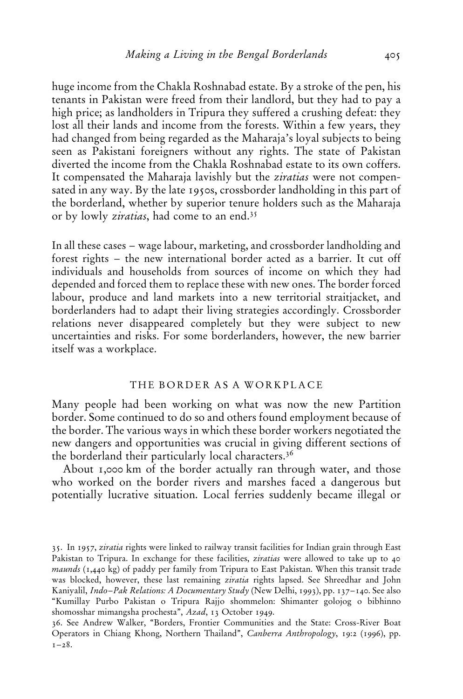huge income from the Chakla Roshnabad estate. By a stroke of the pen, his tenants in Pakistan were freed from their landlord, but they had to pay a high price; as landholders in Tripura they suffered a crushing defeat: they lost all their lands and income from the forests. Within a few years, they had changed from being regarded as the Maharaja's loyal subjects to being seen as Pakistani foreigners without any rights. The state of Pakistan diverted the income from the Chakla Roshnabad estate to its own coffers. It compensated the Maharaja lavishly but the ziratias were not compensated in any way. By the late 1950s, crossborder landholding in this part of the borderland, whether by superior tenure holders such as the Maharaja or by lowly ziratias, had come to an end.<sup>35</sup>

In all these cases – wage labour, marketing, and crossborder landholding and forest rights - the new international border acted as a barrier. It cut off individuals and households from sources of income on which they had depended and forced them to replace these with new ones. The border forced labour, produce and land markets into a new territorial straitjacket, and borderlanders had to adapt their living strategies accordingly. Crossborder relations never disappeared completely but they were subject to new uncertainties and risks. For some borderlanders, however, the new barrier itself was a workplace.

#### THE BORDER AS A WORKPLACE

Many people had been working on what was now the new Partition border. Some continued to do so and others found employment because of the border. The various ways in which these border workers negotiated the new dangers and opportunities was crucial in giving different sections of the borderland their particularly local characters.<sup>36</sup>

About 1,000 km of the border actually ran through water, and those who worked on the border rivers and marshes faced a dangerous but potentially lucrative situation. Local ferries suddenly became illegal or

<sup>35.</sup> In 1957, ziratia rights were linked to railway transit facilities for Indian grain through East Pakistan to Tripura. In exchange for these facilities, *ziratias* were allowed to take up to 40 *maunds* ( $1,440$  kg) of paddy per family from Tripura to East Pakistan. When this transit trade was blocked, however, these last remaining ziratia rights lapsed. See Shreedhar and John Kaniyalil, Indo-Pak Relations: A Documentary Study (New Delhi, 1993), pp. 137-140. See also ``Kumillay Purbo Pakistan o Tripura Rajjo shommelon: Shimanter golojog o bibhinno shomosshar mimangsha prochesta'', Azad, 13 October 1949.

<sup>36.</sup> See Andrew Walker, "Borders, Frontier Communities and the State: Cross-River Boat Operators in Chiang Khong, Northern Thailand'', Canberra Anthropology, 19:2 (1996), pp.  $1 - 28.$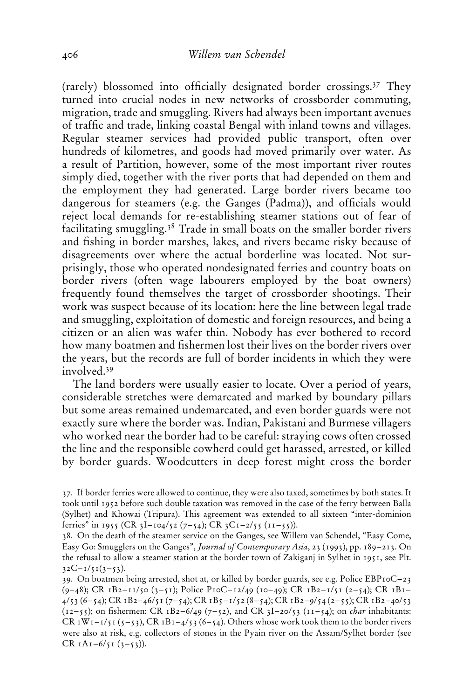(rarely) blossomed into officially designated border crossings.<sup>37</sup> They turned into crucial nodes in new networks of crossborder commuting, migration, trade and smuggling. Rivers had always been important avenues of traffic and trade, linking coastal Bengal with inland towns and villages. Regular steamer services had provided public transport, often over hundreds of kilometres, and goods had moved primarily over water. As a result of Partition, however, some of the most important river routes simply died, together with the river ports that had depended on them and the employment they had generated. Large border rivers became too dangerous for steamers (e.g. the Ganges (Padma)), and officials would reject local demands for re-establishing steamer stations out of fear of facilitating smuggling.<sup>38</sup> Trade in small boats on the smaller border rivers and fishing in border marshes, lakes, and rivers became risky because of disagreements over where the actual borderline was located. Not surprisingly, those who operated nondesignated ferries and country boats on border rivers (often wage labourers employed by the boat owners) frequently found themselves the target of crossborder shootings. Their work was suspect because of its location: here the line between legal trade and smuggling, exploitation of domestic and foreign resources, and being a citizen or an alien was wafer thin. Nobody has ever bothered to record how many boatmen and fishermen lost their lives on the border rivers over the years, but the records are full of border incidents in which they were involved<sup>39</sup>

The land borders were usually easier to locate. Over a period of years, considerable stretches were demarcated and marked by boundary pillars but some areas remained undemarcated, and even border guards were not exactly sure where the border was. Indian, Pakistani and Burmese villagers who worked near the border had to be careful: straying cows often crossed the line and the responsible cowherd could get harassed, arrested, or killed by border guards. Woodcutters in deep forest might cross the border

<sup>37.</sup> If border ferries were allowed to continue, they were also taxed, sometimes by both states. It took until 1952 before such double taxation was removed in the case of the ferry between Balla (Sylhet) and Khowai (Tripura). This agreement was extended to all sixteen "inter-dominion ferries" in 1955 (CR 3I-104/52 (7-54); CR 3C1-2/55 (11-55)).

<sup>38.</sup> On the death of the steamer service on the Ganges, see Willem van Schendel, "Easy Come, Easy Go: Smugglers on the Ganges", Journal of Contemporary Asia, 23 (1993), pp. 189-213. On the refusal to allow a steamer station at the border town of Zakiganj in Sylhet in 1951, see Plt.  $32C-I/51(3-53)$ .

<sup>39.</sup> On boatmen being arrested, shot at, or killed by border guards, see e.g. Police  $EBP<sub>10</sub>C-23$  $(9-48)$ ; CR 1B2-11/50  $(3-51)$ ; Police P10C-12/49 (10-49); CR 1B2-1/51 (2-54); CR 1B1- $4/53$  (6-54); CR 1B2-46/51 (7-54); CR 1B5-1/52 (8-54); CR 1B2-9/54 (2-55); CR 1B2-40/53 (12-55); on fishermen: CR 1B2-6/49 (7-52), and CR 3I-20/53 (11-54); on *char* inhabitants: CR 1W1-1/51 (5-53), CR 1B1-4/53 (6-54). Others whose work took them to the border rivers were also at risk, e.g. collectors of stones in the Pyain river on the Assam/Sylhet border (see CR  $IAI-6/5I(3-53)$ ).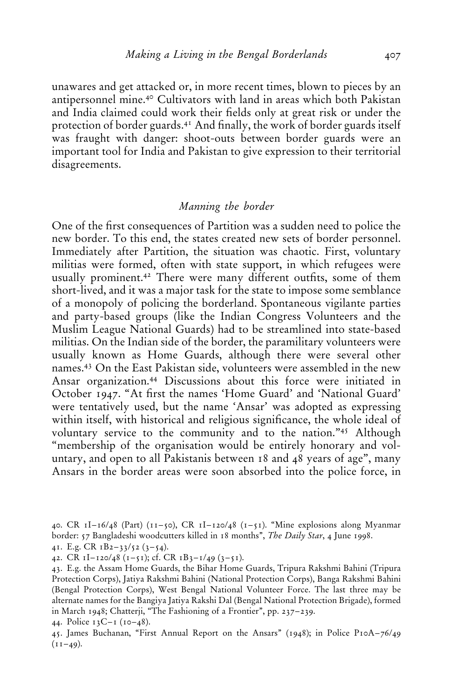unawares and get attacked or, in more recent times, blown to pieces by an antipersonnel mine.40 Cultivators with land in areas which both Pakistan and India claimed could work their fields only at great risk or under the protection of border guards.<sup>41</sup> And finally, the work of border guards itself was fraught with danger: shoot-outs between border guards were an important tool for India and Pakistan to give expression to their territorial disagreements.

#### Manning the border

One of the first consequences of Partition was a sudden need to police the new border. To this end, the states created new sets of border personnel. Immediately after Partition, the situation was chaotic. First, voluntary militias were formed, often with state support, in which refugees were usually prominent.<sup>42</sup> There were many different outfits, some of them short-lived, and it was a major task for the state to impose some semblance of a monopoly of policing the borderland. Spontaneous vigilante parties and party-based groups (like the Indian Congress Volunteers and the Muslim League National Guards) had to be streamlined into state-based militias. On the Indian side of the border, the paramilitary volunteers were usually known as Home Guards, although there were several other names.<sup>43</sup> On the East Pakistan side, volunteers were assembled in the new Ansar organization.<sup>44</sup> Discussions about this force were initiated in October 1947. "At first the names 'Home Guard' and 'National Guard' were tentatively used, but the name 'Ansar' was adopted as expressing within itself, with historical and religious significance, the whole ideal of voluntary service to the community and to the nation."<sup>45</sup> Although ``membership of the organisation would be entirely honorary and voluntary, and open to all Pakistanis between 18 and 48 years of age'', many Ansars in the border areas were soon absorbed into the police force, in

<sup>40.</sup> CR 1I-16/48 (Part) (11-50), CR 1I-120/48 (1-51). "Mine explosions along Myanmar border: 57 Bangladeshi woodcutters killed in 18 months", The Daily Star, 4 June 1998. 41. E.g. CR  $1B_2-33/52$  (3-54).

<sup>42.</sup> CR  $I-I$  120/48 ( $I$  -5 $I$ ); cf. CR  $I$  B3- $I$ /49 (3-5 $I$ ).

<sup>43.</sup> E.g. the Assam Home Guards, the Bihar Home Guards, Tripura Rakshmi Bahini (Tripura Protection Corps), Jatiya Rakshmi Bahini (National Protection Corps), Banga Rakshmi Bahini (Bengal Protection Corps), West Bengal National Volunteer Force. The last three may be alternate names for the Bangiya Jatiya Rakshi Dal (Bengal National Protection Brigade), formed in March 1948; Chatterji, "The Fashioning of a Frontier", pp. 237-239.

<sup>44.</sup> Police  $13C-I (10-48)$ .

<sup>45.</sup> James Buchanan, "First Annual Report on the Ansars" (1948); in Police P10A-76/49  $(11-49)$ .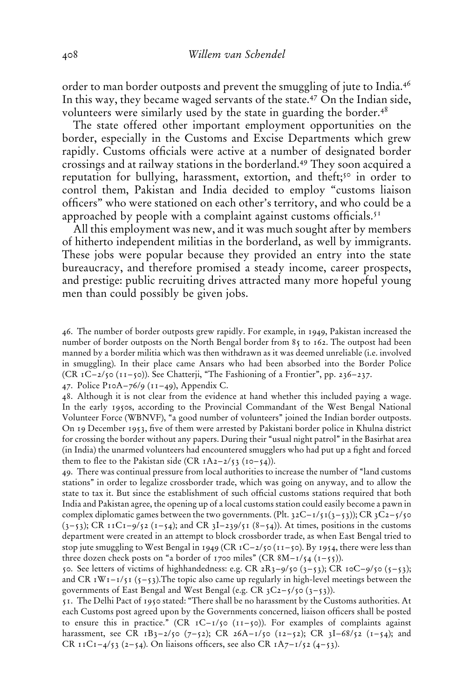order to man border outposts and prevent the smuggling of jute to India.<sup>46</sup> In this way, they became waged servants of the state.<sup>47</sup> On the Indian side, volunteers were similarly used by the state in guarding the border.<sup>48</sup>

The state offered other important employment opportunities on the border, especially in the Customs and Excise Departments which grew rapidly. Customs officials were active at a number of designated border crossings and at railway stations in the borderland.<sup>49</sup> They soon acquired a reputation for bullying, harassment, extortion, and theft;<sup>50</sup> in order to control them, Pakistan and India decided to employ "customs liaison officers" who were stationed on each other's territory, and who could be a approached by people with a complaint against customs officials.<sup>51</sup>

All this employment was new, and it was much sought after by members of hitherto independent militias in the borderland, as well by immigrants. These jobs were popular because they provided an entry into the state bureaucracy, and therefore promised a steady income, career prospects, and prestige: public recruiting drives attracted many more hopeful young men than could possibly be given jobs.

46. The number of border outposts grew rapidly. For example, in 1949, Pakistan increased the number of border outposts on the North Bengal border from 85 to 162. The outpost had been manned by a border militia which was then withdrawn as it was deemed unreliable (i.e. involved in smuggling). In their place came Ansars who had been absorbed into the Border Police (CR  $IC-2/50$  ( $I1-50$ )). See Chatterji, "The Fashioning of a Frontier", pp. 236–237.

47. Police P10A $-76/9$  (11-49), Appendix C.

48. Although it is not clear from the evidence at hand whether this included paying a wage. In the early 1950s, according to the Provincial Commandant of the West Bengal National Volunteer Force (WBNVF), "a good number of volunteers" joined the Indian border outposts. On 19 December 1953, five of them were arrested by Pakistani border police in Khulna district for crossing the border without any papers. During their "usual night patrol" in the Basirhat area (in India) the unarmed volunteers had encountered smugglers who had put up a fight and forced them to flee to the Pakistan side (CR  $IA2-2/53$  (10-54)).

49. There was continual pressure from local authorities to increase the number of "land customs" stations'' in order to legalize crossborder trade, which was going on anyway, and to allow the state to tax it. But since the establishment of such official customs stations required that both India and Pakistan agree, the opening up of a local customs station could easily become a pawn in complex diplomatic games between the two governments. (Plt.  $32C-I(51(3-53))$ ; CR  $3C2-5/50$  $(3-53)$ ; CR 11C1-9/52 (1-54); and CR 3I-239/51  $(8-54)$ ). At times, positions in the customs department were created in an attempt to block crossborder trade, as when East Bengal tried to stop jute smuggling to West Bengal in 1949 (CR  $IC-2/50$  (11-50). By 1954, there were less than three dozen check posts on "a border of 1700 miles" (CR  $8M-I/54$  (1-55)).

50. See letters of victims of highhandedness: e.g. CR  $2R_3=9/50$  (3-53); CR 10C $=9/50$  (5-53); and CR  $I W I-I/f I (5-53)$ . The topic also came up regularly in high-level meetings between the governments of East Bengal and West Bengal (e.g. CR  $3C_2 - 5/50$  ( $3-53$ )).

51. The Delhi Pact of 1950 stated: "There shall be no harassment by the Customs authorities. At each Customs post agreed upon by the Governments concerned, liaison officers shall be posted to ensure this in practice." (CR  $_1C-I/50$  ( $_1I-50$ )). For examples of complaints against harassment, see CR 1B3-2/50 (7-52); CR 26A-1/50 (12-52); CR 3I-68/52 (1-54); and CR  $11C1-4/53$  (2-54). On liaisons officers, see also CR  $1A7-1/52$  (4-53).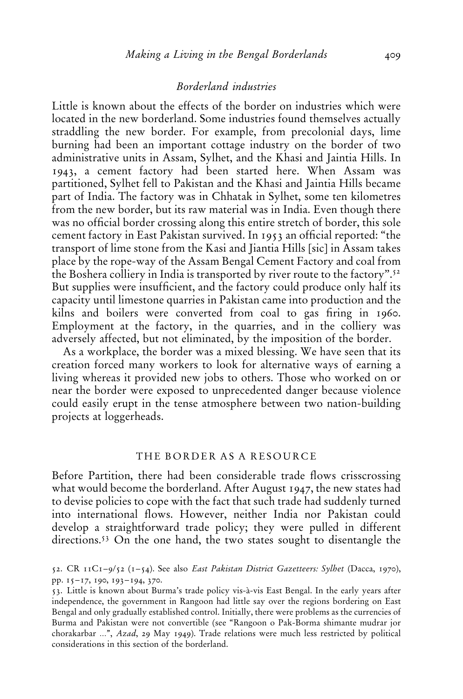#### Borderland industries

Little is known about the effects of the border on industries which were located in the new borderland. Some industries found themselves actually straddling the new border. For example, from precolonial days, lime burning had been an important cottage industry on the border of two administrative units in Assam, Sylhet, and the Khasi and Jaintia Hills. In 1943, a cement factory had been started here. When Assam was partitioned, Sylhet fell to Pakistan and the Khasi and Jaintia Hills became part of India. The factory was in Chhatak in Sylhet, some ten kilometres from the new border, but its raw material was in India. Even though there was no official border crossing along this entire stretch of border, this sole cement factory in East Pakistan survived. In 1953 an official reported: "the transport of lime stone from the Kasi and Jiantia Hills [sic] in Assam takes place by the rope-way of the Assam Bengal Cement Factory and coal from the Boshera colliery in India is transported by river route to the factory".<sup>52</sup> But supplies were insufficient, and the factory could produce only half its capacity until limestone quarries in Pakistan came into production and the kilns and boilers were converted from coal to gas firing in 1960. Employment at the factory, in the quarries, and in the colliery was adversely affected, but not eliminated, by the imposition of the border.

As a workplace, the border was a mixed blessing. We have seen that its creation forced many workers to look for alternative ways of earning a living whereas it provided new jobs to others. Those who worked on or near the border were exposed to unprecedented danger because violence could easily erupt in the tense atmosphere between two nation-building projects at loggerheads.

#### THE BORDER AS A RESOURCE

Before Partition, there had been considerable trade flows crisscrossing what would become the borderland. After August 1947, the new states had to devise policies to cope with the fact that such trade had suddenly turned into international flows. However, neither India nor Pakistan could develop a straightforward trade policy; they were pulled in different directions.<sup>53</sup> On the one hand, the two states sought to disentangle the

<sup>52.</sup> CR 11C1-9/52 (1-54). See also *East Pakistan District Gazetteers: Sylhet* (Dacca, 1970), pp. 15-17, 190, 193-194, 370.

<sup>53.</sup> Little is known about Burma's trade policy vis-à-vis East Bengal. In the early years after independence, the government in Rangoon had little say over the regions bordering on East Bengal and only gradually established control. Initially, there were problems as the currencies of Burma and Pakistan were not convertible (see "Rangoon o Pak-Borma shimante mudrar jor chorakarbar ...", Azad, 29 May 1949). Trade relations were much less restricted by political considerations in this section of the borderland.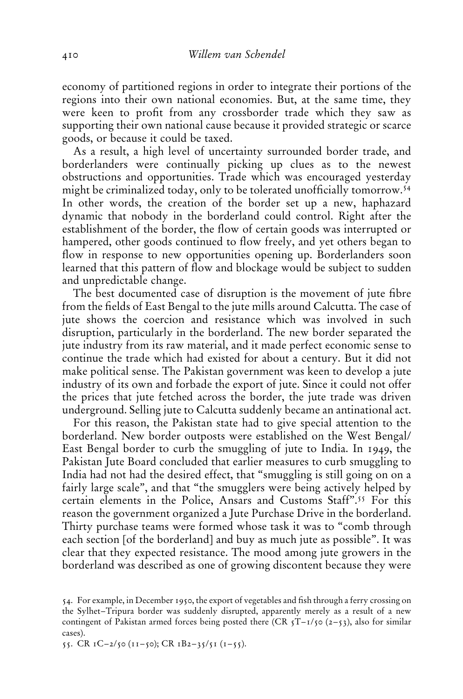economy of partitioned regions in order to integrate their portions of the regions into their own national economies. But, at the same time, they were keen to profit from any crossborder trade which they saw as supporting their own national cause because it provided strategic or scarce goods, or because it could be taxed.

As a result, a high level of uncertainty surrounded border trade, and borderlanders were continually picking up clues as to the newest obstructions and opportunities. Trade which was encouraged yesterday might be criminalized today, only to be tolerated unofficially tomorrow.<sup>54</sup> In other words, the creation of the border set up a new, haphazard dynamic that nobody in the borderland could control. Right after the establishment of the border, the flow of certain goods was interrupted or hampered, other goods continued to flow freely, and yet others began to flow in response to new opportunities opening up. Borderlanders soon learned that this pattern of flow and blockage would be subject to sudden and unpredictable change.

The best documented case of disruption is the movement of jute fibre from the fields of East Bengal to the jute mills around Calcutta. The case of jute shows the coercion and resistance which was involved in such disruption, particularly in the borderland. The new border separated the jute industry from its raw material, and it made perfect economic sense to continue the trade which had existed for about a century. But it did not make political sense. The Pakistan government was keen to develop a jute industry of its own and forbade the export of jute. Since it could not offer the prices that jute fetched across the border, the jute trade was driven underground. Selling jute to Calcutta suddenly became an antinational act.

For this reason, the Pakistan state had to give special attention to the borderland. New border outposts were established on the West Bengal/ East Bengal border to curb the smuggling of jute to India. In 1949, the Pakistan Jute Board concluded that earlier measures to curb smuggling to India had not had the desired effect, that "smuggling is still going on on a fairly large scale", and that "the smugglers were being actively helped by certain elements in the Police, Ansars and Customs Staff''.<sup>55</sup> For this reason the government organized a Jute Purchase Drive in the borderland. Thirty purchase teams were formed whose task it was to "comb through each section [of the borderland] and buy as much jute as possible''. It was clear that they expected resistance. The mood among jute growers in the borderland was described as one of growing discontent because they were

<sup>54.</sup> For example, in December 1950, the export of vegetables and fish through a ferry crossing on the Sylhet-Tripura border was suddenly disrupted, apparently merely as a result of a new contingent of Pakistan armed forces being posted there (CR  $5T-t/50$  (2-53), also for similar cases).

<sup>55.</sup> CR  $IC-2/50$  ( $I1-50$ ); CR  $IB2-35/51$  ( $I-55$ ).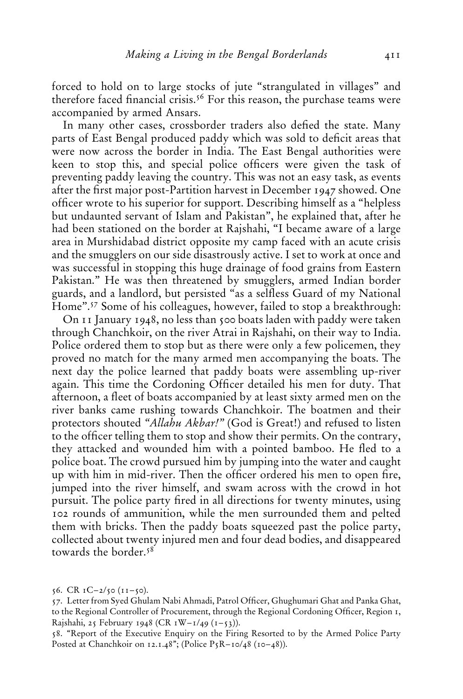forced to hold on to large stocks of jute "strangulated in villages" and therefore faced financial crisis.<sup>56</sup> For this reason, the purchase teams were accompanied by armed Ansars.

In many other cases, crossborder traders also defied the state. Many parts of East Bengal produced paddy which was sold to deficit areas that were now across the border in India. The East Bengal authorities were keen to stop this, and special police officers were given the task of preventing paddy leaving the country. This was not an easy task, as events after the first major post-Partition harvest in December 1947 showed. One officer wrote to his superior for support. Describing himself as a "helpless but undaunted servant of Islam and Pakistan'', he explained that, after he had been stationed on the border at Rajshahi, "I became aware of a large area in Murshidabad district opposite my camp faced with an acute crisis and the smugglers on our side disastrously active. I set to work at once and was successful in stopping this huge drainage of food grains from Eastern Pakistan.'' He was then threatened by smugglers, armed Indian border guards, and a landlord, but persisted "as a selfless Guard of my National Home".<sup>57</sup> Some of his colleagues, however, failed to stop a breakthrough:

On 11 January 1948, no less than 500 boats laden with paddy were taken through Chanchkoir, on the river Atrai in Rajshahi, on their way to India. Police ordered them to stop but as there were only a few policemen, they proved no match for the many armed men accompanying the boats. The next day the police learned that paddy boats were assembling up-river again. This time the Cordoning Officer detailed his men for duty. That afternoon, a fleet of boats accompanied by at least sixty armed men on the river banks came rushing towards Chanchkoir. The boatmen and their protectors shouted "Allahu Akbar!" (God is Great!) and refused to listen to the officer telling them to stop and show their permits. On the contrary, they attacked and wounded him with a pointed bamboo. He fled to a police boat. The crowd pursued him by jumping into the water and caught up with him in mid-river. Then the officer ordered his men to open fire, jumped into the river himself, and swam across with the crowd in hot pursuit. The police party fired in all directions for twenty minutes, using 102 rounds of ammunition, while the men surrounded them and pelted them with bricks. Then the paddy boats squeezed past the police party, collected about twenty injured men and four dead bodies, and disappeared towards the border.<sup>58</sup>

<sup>56.</sup> CR  $IC-2/50$  ( $I1-50$ ).

<sup>57.</sup> Letter from Syed Ghulam Nabi Ahmadi, Patrol Officer, Ghughumari Ghat and Panka Ghat, to the Regional Controller of Procurement, through the Regional Cordoning Officer, Region 1, Rajshahi, 25 February 1948 (CR 1W-1/49  $(1-53)$ ).

<sup>58. &</sup>quot;Report of the Executive Enquiry on the Firing Resorted to by the Armed Police Party Posted at Chanchkoir on 12.1.48"; (Police P5R-10/48 (10-48)).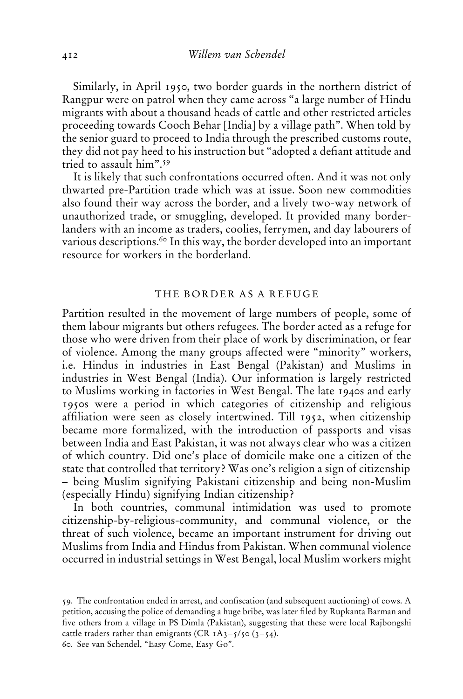Similarly, in April 1950, two border guards in the northern district of Rangpur were on patrol when they came across "a large number of Hindu migrants with about a thousand heads of cattle and other restricted articles proceeding towards Cooch Behar [India] by a village path''. When told by the senior guard to proceed to India through the prescribed customs route, they did not pay heed to his instruction but "adopted a defiant attitude and tried to assault him''.59

It is likely that such confrontations occurred often. And it was not only thwarted pre-Partition trade which was at issue. Soon new commodities also found their way across the border, and a lively two-way network of unauthorized trade, or smuggling, developed. It provided many borderlanders with an income as traders, coolies, ferrymen, and day labourers of various descriptions.<sup>60</sup> In this way, the border developed into an important resource for workers in the borderland.

#### THE BORDER AS A REFUGE

Partition resulted in the movement of large numbers of people, some of them labour migrants but others refugees. The border acted as a refuge for those who were driven from their place of work by discrimination, or fear of violence. Among the many groups affected were "minority" workers, i.e. Hindus in industries in East Bengal (Pakistan) and Muslims in industries in West Bengal (India). Our information is largely restricted to Muslims working in factories in West Bengal. The late 1940s and early 1950s were a period in which categories of citizenship and religious affiliation were seen as closely intertwined. Till 1952, when citizenship became more formalized, with the introduction of passports and visas between India and East Pakistan, it was not always clear who was a citizen of which country. Did one's place of domicile make one a citizen of the state that controlled that territory? Was one's religion a sign of citizenship ± being Muslim signifying Pakistani citizenship and being non-Muslim (especially Hindu) signifying Indian citizenship?

In both countries, communal intimidation was used to promote citizenship-by-religious-community, and communal violence, or the threat of such violence, became an important instrument for driving out Muslims from India and Hindus from Pakistan. When communal violence occurred in industrial settings in West Bengal, local Muslim workers might

60. See van Schendel, "Easy Come, Easy Go".

<sup>59.</sup> The confrontation ended in arrest, and confiscation (and subsequent auctioning) of cows. A petition, accusing the police of demanding a huge bribe, was later filed by Rupkanta Barman and five others from a village in PS Dimla (Pakistan), suggesting that these were local Rajbongshi cattle traders rather than emigrants (CR  $1A_3 - \frac{5}{50}$  (3-54).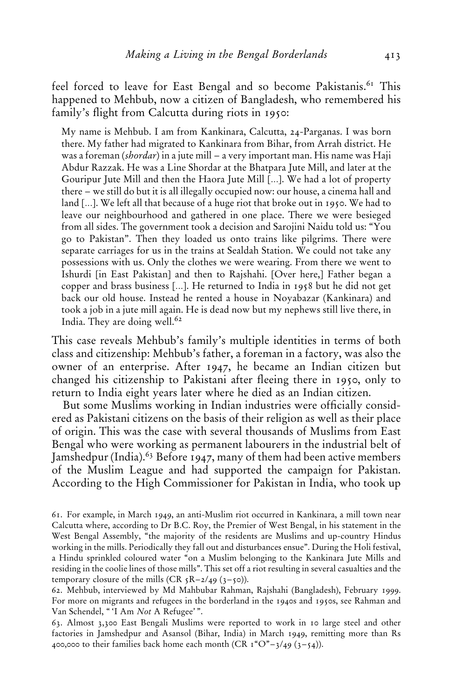feel forced to leave for East Bengal and so become Pakistanis.<sup>61</sup> This happened to Mehbub, now a citizen of Bangladesh, who remembered his family's flight from Calcutta during riots in 1950:

My name is Mehbub. I am from Kankinara, Calcutta, 24-Parganas. I was born there. My father had migrated to Kankinara from Bihar, from Arrah district. He was a foreman (shordar) in a jute mill  $-$  a very important man. His name was Haji Abdur Razzak. He was a Line Shordar at the Bhatpara Jute Mill, and later at the Gouripur Jute Mill and then the Haora Jute Mill [...]. We had a lot of property there – we still do but it is all illegally occupied now: our house, a cinema hall and land [...]. We left all that because of a huge riot that broke out in 1950. We had to leave our neighbourhood and gathered in one place. There we were besieged from all sides. The government took a decision and Sarojini Naidu told us: ``You go to Pakistan''. Then they loaded us onto trains like pilgrims. There were separate carriages for us in the trains at Sealdah Station. We could not take any possessions with us. Only the clothes we were wearing. From there we went to Ishurdi [in East Pakistan] and then to Rajshahi. [Over here,] Father began a copper and brass business [:::]. He returned to India in 1958 but he did not get back our old house. Instead he rented a house in Noyabazar (Kankinara) and took a job in a jute mill again. He is dead now but my nephews still live there, in India. They are doing well.<sup>62</sup>

This case reveals Mehbub's family's multiple identities in terms of both class and citizenship: Mehbub's father, a foreman in a factory, was also the owner of an enterprise. After 1947, he became an Indian citizen but changed his citizenship to Pakistani after fleeing there in 1950, only to return to India eight years later where he died as an Indian citizen.

But some Muslims working in Indian industries were officially considered as Pakistani citizens on the basis of their religion as well as their place of origin. This was the case with several thousands of Muslims from East Bengal who were working as permanent labourers in the industrial belt of Jamshedpur (India).<sup>63</sup> Before 1947, many of them had been active members of the Muslim League and had supported the campaign for Pakistan. According to the High Commissioner for Pakistan in India, who took up

<sup>61.</sup> For example, in March 1949, an anti-Muslim riot occurred in Kankinara, a mill town near Calcutta where, according to Dr B.C. Roy, the Premier of West Bengal, in his statement in the West Bengal Assembly, "the majority of the residents are Muslims and up-country Hindus working in the mills. Periodically they fall out and disturbances ensue''. During the Holi festival, a Hindu sprinkled coloured water "on a Muslim belonging to the Kankinara Jute Mills and residing in the coolie lines of those mills''. This set off a riot resulting in several casualties and the temporary closure of the mills  $(CR \t{5R-2/49} (3-50))$ .

<sup>62.</sup> Mehbub, interviewed by Md Mahbubar Rahman, Rajshahi (Bangladesh), February 1999. For more on migrants and refugees in the borderland in the 1940s and 1950s, see Rahman and Van Schendel, "'I Am Not A Refugee'".

<sup>63.</sup> Almost 3,300 East Bengali Muslims were reported to work in 10 large steel and other factories in Jamshedpur and Asansol (Bihar, India) in March 1949, remitting more than Rs 400,000 to their families back home each month (CR  $1^{\circ}O'' - \frac{3}{49} (3-54)$ ).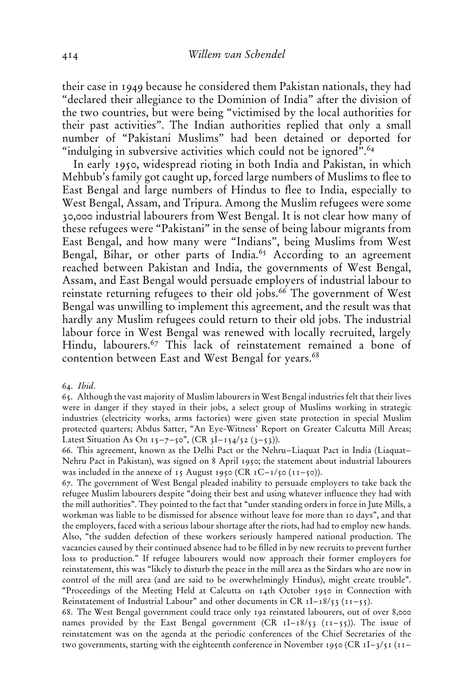their case in 1949 because he considered them Pakistan nationals, they had ``declared their allegiance to the Dominion of India'' after the division of the two countries, but were being "victimised by the local authorities for their past activities''. The Indian authorities replied that only a small number of "Pakistani Muslims" had been detained or deported for "indulging in subversive activities which could not be ignored".<sup>64</sup>

In early 1950, widespread rioting in both India and Pakistan, in which Mehbub's family got caught up, forced large numbers of Muslims to flee to East Bengal and large numbers of Hindus to flee to India, especially to West Bengal, Assam, and Tripura. Among the Muslim refugees were some 30,000 industrial labourers from West Bengal. It is not clear how many of these refugees were "Pakistani" in the sense of being labour migrants from East Bengal, and how many were "Indians", being Muslims from West Bengal, Bihar, or other parts of India.<sup>65</sup> According to an agreement reached between Pakistan and India, the governments of West Bengal, Assam, and East Bengal would persuade employers of industrial labour to reinstate returning refugees to their old jobs.<sup>66</sup> The government of West Bengal was unwilling to implement this agreement, and the result was that hardly any Muslim refugees could return to their old jobs. The industrial labour force in West Bengal was renewed with locally recruited, largely Hindu, labourers.<sup>67</sup> This lack of reinstatement remained a bone of contention between East and West Bengal for years.<sup>68</sup>

#### 64. Ibid.

65. Although the vast majority of Muslim labourers in West Bengal industries felt that their lives were in danger if they stayed in their jobs, a select group of Muslims working in strategic industries (electricity works, arms factories) were given state protection in special Muslim protected quarters; Abdus Satter, "An Eye-Witness' Report on Greater Calcutta Mill Areas; Latest Situation As On  $15-7-50$ ", (CR  $3I-154/52$  (3-53)).

66. This agreement, known as the Delhi Pact or the Nehru-Liaquat Pact in India (Liaquat-Nehru Pact in Pakistan), was signed on 8 April 1950; the statement about industrial labourers was included in the annexe of 15 August 1950 (CR  $IC-I/50 (II-50)$ ).

67. The government of West Bengal pleaded inability to persuade employers to take back the refugee Muslim labourers despite "doing their best and using whatever influence they had with the mill authorities". They pointed to the fact that "under standing orders in force in Jute Mills, a workman was liable to be dismissed for absence without leave for more than 10 days'', and that the employers, faced with a serious labour shortage after the riots, had had to employ new hands. Also, "the sudden defection of these workers seriously hampered national production. The vacancies caused by their continued absence had to be filled in by new recruits to prevent further loss to production.'' If refugee labourers would now approach their former employers for reinstatement, this was "likely to disturb the peace in the mill area as the Sirdars who are now in control of the mill area (and are said to be overwhelmingly Hindus), might create trouble''. ``Proceedings of the Meeting Held at Calcutta on 14th October 1950 in Connection with Reinstatement of Industrial Labour" and other documents in CR  $I-I = 18/53$  ( $I-I = 55$ ).

68. The West Bengal government could trace only 192 reinstated labourers, out of over 8,000 names provided by the East Bengal government (CR  $1I-18/53$  ( $11-55$ )). The issue of reinstatement was on the agenda at the periodic conferences of the Chief Secretaries of the two governments, starting with the eighteenth conference in November 1950 (CR 1I-3/51 (11-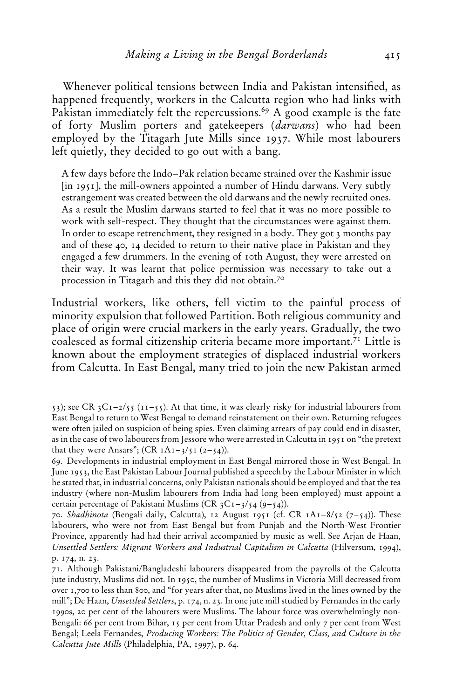Whenever political tensions between India and Pakistan intensified, as happened frequently, workers in the Calcutta region who had links with Pakistan immediately felt the repercussions.<sup>69</sup> A good example is the fate of forty Muslim porters and gatekeepers (darwans) who had been employed by the Titagarh Jute Mills since 1937. While most labourers left quietly, they decided to go out with a bang.

A few days before the Indo–Pak relation became strained over the Kashmir issue [in 1951], the mill-owners appointed a number of Hindu darwans. Very subtly estrangement was created between the old darwans and the newly recruited ones. As a result the Muslim darwans started to feel that it was no more possible to work with self-respect. They thought that the circumstances were against them. In order to escape retrenchment, they resigned in a body. They got 3 months pay and of these 40, 14 decided to return to their native place in Pakistan and they engaged a few drummers. In the evening of 10th August, they were arrested on their way. It was learnt that police permission was necessary to take out a procession in Titagarh and this they did not obtain.<sup>70</sup>

Industrial workers, like others, fell victim to the painful process of minority expulsion that followed Partition. Both religious community and place of origin were crucial markers in the early years. Gradually, the two coalesced as formal citizenship criteria became more important.<sup>71</sup> Little is known about the employment strategies of displaced industrial workers from Calcutta. In East Bengal, many tried to join the new Pakistan armed

69. Developments in industrial employment in East Bengal mirrored those in West Bengal. In June 1953, the East Pakistan Labour Journal published a speech by the Labour Minister in which he stated that, in industrial concerns, only Pakistan nationals should be employed and that the tea industry (where non-Muslim labourers from India had long been employed) must appoint a certain percentage of Pakistani Muslims (CR  $3C_1-3/54$  (9-54)).

70. Shadhinota (Bengali daily, Calcutta), 12 August 1951 (cf. CR 1A1-8/52 (7-54)). These labourers, who were not from East Bengal but from Punjab and the North-West Frontier Province, apparently had had their arrival accompanied by music as well. See Arjan de Haan, Unsettled Settlers: Migrant Workers and Industrial Capitalism in Calcutta (Hilversum, 1994), p. 174, n. 23.

71. Although Pakistani/Bangladeshi labourers disappeared from the payrolls of the Calcutta jute industry, Muslims did not. In 1950, the number of Muslims in Victoria Mill decreased from over 1,700 to less than 800, and ``for years after that, no Muslims lived in the lines owned by the mill''; De Haan, Unsettled Settlers, p. 174, n. 23. In one jute mill studied by Fernandes in the early 1990s, 20 per cent of the labourers were Muslims. The labour force was overwhelmingly non-Bengali: 66 per cent from Bihar, 15 per cent from Uttar Pradesh and only 7 per cent from West Bengal; Leela Fernandes, Producing Workers: The Politics of Gender, Class, and Culture in the Calcutta Jute Mills (Philadelphia, PA, 1997), p. 64.

<sup>53);</sup> see CR 3C1-2/55 (11-55). At that time, it was clearly risky for industrial labourers from East Bengal to return to West Bengal to demand reinstatement on their own. Returning refugees were often jailed on suspicion of being spies. Even claiming arrears of pay could end in disaster, as in the case of two labourers from Jessore who were arrested in Calcutta in 1951 on "the pretext that they were Ansars";  $(CR I A1-3/5I (2-54))$ .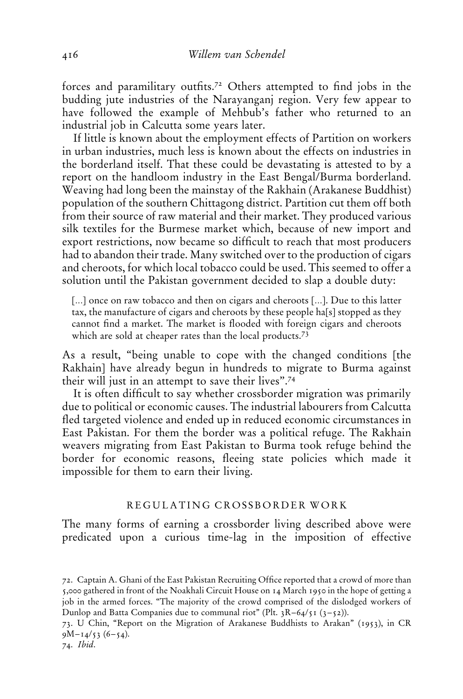forces and paramilitary outfits.<sup>72</sup> Others attempted to find jobs in the budding jute industries of the Narayanganj region. Very few appear to have followed the example of Mehbub's father who returned to an industrial job in Calcutta some years later.

If little is known about the employment effects of Partition on workers in urban industries, much less is known about the effects on industries in the borderland itself. That these could be devastating is attested to by a report on the handloom industry in the East Bengal/Burma borderland. Weaving had long been the mainstay of the Rakhain (Arakanese Buddhist) population of the southern Chittagong district. Partition cut them off both from their source of raw material and their market. They produced various silk textiles for the Burmese market which, because of new import and export restrictions, now became so difficult to reach that most producers had to abandon their trade. Many switched over to the production of cigars and cheroots, for which local tobacco could be used. This seemed to offer a solution until the Pakistan government decided to slap a double duty:

[...] once on raw tobacco and then on cigars and cheroots [...]. Due to this latter tax, the manufacture of cigars and cheroots by these people ha[s] stopped as they cannot find a market. The market is flooded with foreign cigars and cheroots which are sold at cheaper rates than the local products.<sup>73</sup>

As a result, "being unable to cope with the changed conditions [the Rakhain] have already begun in hundreds to migrate to Burma against their will just in an attempt to save their lives''.<sup>74</sup>

It is often difficult to say whether crossborder migration was primarily due to political or economic causes. The industrial labourers from Calcutta fled targeted violence and ended up in reduced economic circumstances in East Pakistan. For them the border was a political refuge. The Rakhain weavers migrating from East Pakistan to Burma took refuge behind the border for economic reasons, fleeing state policies which made it impossible for them to earn their living.

#### REGULATING CROSSBORDER WORK

The many forms of earning a crossborder living described above were predicated upon a curious time-lag in the imposition of effective

<sup>72.</sup> Captain A. Ghani of the East Pakistan Recruiting Office reported that a crowd of more than 5,000 gathered in front of the Noakhali Circuit House on 14 March 1950 in the hope of getting a job in the armed forces. "The majority of the crowd comprised of the dislodged workers of Dunlop and Batta Companies due to communal riot" (Plt.  $3R-64/51$  ( $3-52$ )).

<sup>73.</sup> U Chin, "Report on the Migration of Arakanese Buddhists to Arakan" (1953), in CR  $9M-I4/53$  (6-54).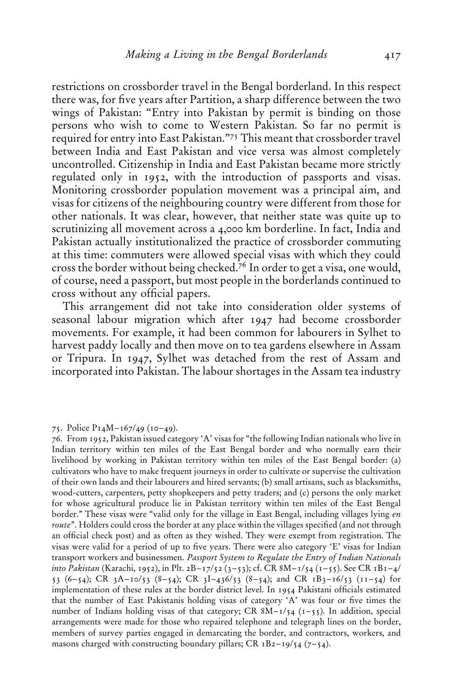restrictions on crossborder travel in the Bengal borderland. In this respect there was, for five years after Partition, a sharp difference between the two wings of Pakistan: "Entry into Pakistan by permit is binding on those persons who wish to come to Western Pakistan. So far no permit is required for entry into East Pakistan.''<sup>75</sup> This meant that crossborder travel between India and East Pakistan and vice versa was almost completely uncontrolled. Citizenship in India and East Pakistan became more strictly regulated only in 1952, with the introduction of passports and visas. Monitoring crossborder population movement was a principal aim, and visas for citizens of the neighbouring country were different from those for other nationals. It was clear, however, that neither state was quite up to scrutinizing all movement across a 4,000 km borderline. In fact, India and Pakistan actually institutionalized the practice of crossborder commuting at this time: commuters were allowed special visas with which they could cross the border without being checked.<sup>76</sup> In order to get a visa, one would, of course, need a passport, but most people in the borderlands continued to cross without any official papers.

This arrangement did not take into consideration older systems of seasonal labour migration which after 1947 had become crossborder movements. For example, it had been common for labourers in Sylhet to harvest paddy locally and then move on to tea gardens elsewhere in Assam or Tripura. In 1947, Sylhet was detached from the rest of Assam and incorporated into Pakistan. The labour shortages in the Assam tea industry

#### 75. Police P $I_4M-I67/49$  (10-49).

76. From 1952, Pakistan issued category `A' visas for ``the following Indian nationals who live in Indian territory within ten miles of the East Bengal border and who normally earn their livelihood by working in Pakistan territory within ten miles of the East Bengal border: (a) cultivators who have to make frequent journeys in order to cultivate or supervise the cultivation of their own lands and their labourers and hired servants; (b) small artisans, such as blacksmiths, wood-cutters, carpenters, petty shopkeepers and petty traders; and (c) persons the only market for whose agricultural produce lie in Pakistan territory within ten miles of the East Bengal border." These visas were "valid only for the village in East Bengal, including villages lying en route". Holders could cross the border at any place within the villages specified (and not through an official check post) and as often as they wished. They were exempt from registration. The visas were valid for a period of up to five years. There were also category 'E' visas for Indian transport workers and businessmen. Passport System to Regulate the Entry of Indian Nationals into Pakistan (Karachi, 1952), in Plt. 2B-17/52 (3-53); cf. CR  $M-I/54$  (1-55). See CR 1B1-4/ 53 (6-54); CR 3A-10/53 (8-54); CR 3I-436/53 (8-54); and CR  $IB3-I6/53$  (11-54) for implementation of these rules at the border district level. In  $1954$  Pakistani officials estimated that the number of East Pakistanis holding visas of category 'A' was four or five times the number of Indians holding visas of that category; CR  $8M-1/54$  (1-55). In addition, special arrangements were made for those who repaired telephone and telegraph lines on the border, members of survey parties engaged in demarcating the border, and contractors, workers, and masons charged with constructing boundary pillars; CR  $1B2-F19/54$  (7-54).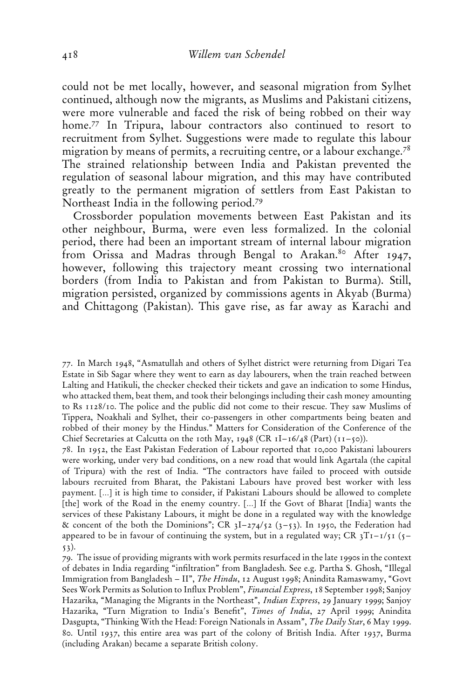could not be met locally, however, and seasonal migration from Sylhet continued, although now the migrants, as Muslims and Pakistani citizens, were more vulnerable and faced the risk of being robbed on their way home.<sup>77</sup> In Tripura, labour contractors also continued to resort to recruitment from Sylhet. Suggestions were made to regulate this labour migration by means of permits, a recruiting centre, or a labour exchange.<sup>78</sup> The strained relationship between India and Pakistan prevented the regulation of seasonal labour migration, and this may have contributed greatly to the permanent migration of settlers from East Pakistan to Northeast India in the following period.<sup>79</sup>

Crossborder population movements between East Pakistan and its other neighbour, Burma, were even less formalized. In the colonial period, there had been an important stream of internal labour migration from Orissa and Madras through Bengal to Arakan.80 After 1947, however, following this trajectory meant crossing two international borders (from India to Pakistan and from Pakistan to Burma). Still, migration persisted, organized by commissions agents in Akyab (Burma) and Chittagong (Pakistan). This gave rise, as far away as Karachi and

77. In March 1948, "Asmatullah and others of Sylhet district were returning from Digari Tea Estate in Sib Sagar where they went to earn as day labourers, when the train reached between Lalting and Hatikuli, the checker checked their tickets and gave an indication to some Hindus, who attacked them, beat them, and took their belongings including their cash money amounting to Rs 1128/10. The police and the public did not come to their rescue. They saw Muslims of Tippera, Noakhali and Sylhet, their co-passengers in other compartments being beaten and robbed of their money by the Hindus.'' Matters for Consideration of the Conference of the Chief Secretaries at Calcutta on the 10th May, 1948 (CR 1I-16/48 (Part) (11-50)).

78. In 1952, the East Pakistan Federation of Labour reported that 10,000 Pakistani labourers were working, under very bad conditions, on a new road that would link Agartala (the capital of Tripura) with the rest of India. "The contractors have failed to proceed with outside labours recruited from Bharat, the Pakistani Labours have proved best worker with less payment. [...] it is high time to consider, if Pakistani Labours should be allowed to complete [the] work of the Road in the enemy country. [...] If the Govt of Bharat [India] wants the services of these Pakistany Labours, it might be done in a regulated way with the knowledge & concent of the both the Dominions"; CR  $3I-274/52$  ( $3-53$ ). In 1950, the Federation had appeared to be in favour of continuing the system, but in a regulated way; CR  $3T1-I/51$  (5– 53).

79. The issue of providing migrants with work permits resurfaced in the late 1990s in the context of debates in India regarding "infiltration" from Bangladesh. See e.g. Partha S. Ghosh, "Illegal Immigration from Bangladesh - II", The Hindu, 12 August 1998; Anindita Ramaswamy, "Govt Sees Work Permits as Solution to Influx Problem", Financial Express, 18 September 1998; Sanjoy Hazarika, "Managing the Migrants in the Northeast", Indian Express, 29 January 1999; Sanjoy Hazarika, "Turn Migration to India's Benefit", Times of India, 27 April 1999; Anindita Dasgupta, "Thinking With the Head: Foreign Nationals in Assam", The Daily Star, 6 May 1999. 80. Until 1937, this entire area was part of the colony of British India. After 1937, Burma (including Arakan) became a separate British colony.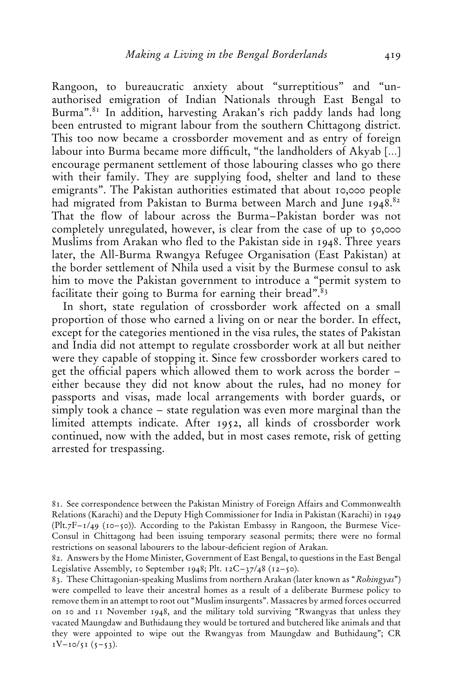Rangoon, to bureaucratic anxiety about "surreptitious" and "unauthorised emigration of Indian Nationals through East Bengal to Burma".<sup>81</sup> In addition, harvesting Arakan's rich paddy lands had long been entrusted to migrant labour from the southern Chittagong district. This too now became a crossborder movement and as entry of foreign labour into Burma became more difficult, "the landholders of Akyab [...] encourage permanent settlement of those labouring classes who go there with their family. They are supplying food, shelter and land to these emigrants''. The Pakistan authorities estimated that about 10,000 people had migrated from Pakistan to Burma between March and June 1948.<sup>82</sup> That the flow of labour across the Burma-Pakistan border was not completely unregulated, however, is clear from the case of up to 50,000 Muslims from Arakan who fled to the Pakistan side in 1948. Three years later, the All-Burma Rwangya Refugee Organisation (East Pakistan) at the border settlement of Nhila used a visit by the Burmese consul to ask him to move the Pakistan government to introduce a "permit system to facilitate their going to Burma for earning their bread".<sup>83</sup>

In short, state regulation of crossborder work affected on a small proportion of those who earned a living on or near the border. In effect, except for the categories mentioned in the visa rules, the states of Pakistan and India did not attempt to regulate crossborder work at all but neither were they capable of stopping it. Since few crossborder workers cared to get the official papers which allowed them to work across the border  $$ either because they did not know about the rules, had no money for passports and visas, made local arrangements with border guards, or  $simplify$  took a chance  $-$  state regulation was even more marginal than the limited attempts indicate. After 1952, all kinds of crossborder work continued, now with the added, but in most cases remote, risk of getting arrested for trespassing.

<sup>81.</sup> See correspondence between the Pakistan Ministry of Foreign Affairs and Commonwealth Relations (Karachi) and the Deputy High Commissioner for India in Pakistan (Karachi) in 1949 (Plt.7F $-I$ /49 (10-50)). According to the Pakistan Embassy in Rangoon, the Burmese Vice-Consul in Chittagong had been issuing temporary seasonal permits; there were no formal restrictions on seasonal labourers to the labour-deficient region of Arakan.

<sup>82.</sup> Answers by the Home Minister, Government of East Bengal, to questions in the East Bengal Legislative Assembly, 10 September 1948; Plt. 12C-37/48 (12-50).

<sup>83.</sup> These Chittagonian-speaking Muslims from northern Arakan (later known as "Rohingyas") were compelled to leave their ancestral homes as a result of a deliberate Burmese policy to remove them in an attempt to root out "Muslim insurgents". Massacres by armed forces occurred on 10 and 11 November 1948, and the military told surviving "Rwangyas that unless they vacated Maungdaw and Buthidaung they would be tortured and butchered like animals and that they were appointed to wipe out the Rwangyas from Maungdaw and Buthidaung''; CR  $1V-10/51 (5-53)$ .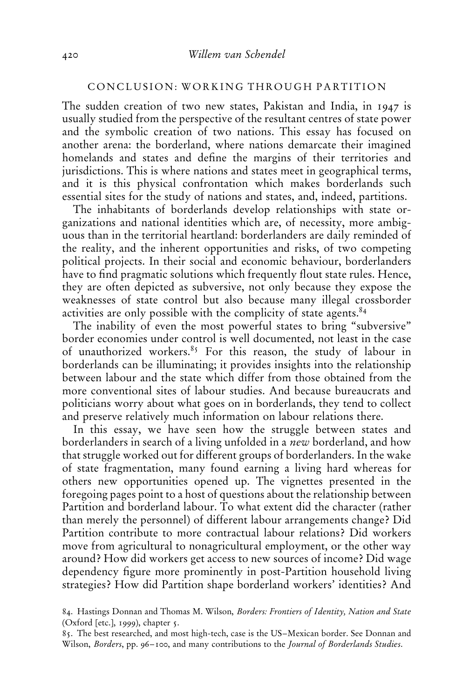#### CONCLUSION: WORKING THROUGH PARTITION

The sudden creation of two new states, Pakistan and India, in 1947 is usually studied from the perspective of the resultant centres of state power and the symbolic creation of two nations. This essay has focused on another arena: the borderland, where nations demarcate their imagined homelands and states and define the margins of their territories and jurisdictions. This is where nations and states meet in geographical terms, and it is this physical confrontation which makes borderlands such essential sites for the study of nations and states, and, indeed, partitions.

The inhabitants of borderlands develop relationships with state organizations and national identities which are, of necessity, more ambiguous than in the territorial heartland: borderlanders are daily reminded of the reality, and the inherent opportunities and risks, of two competing political projects. In their social and economic behaviour, borderlanders have to find pragmatic solutions which frequently flout state rules. Hence, they are often depicted as subversive, not only because they expose the weaknesses of state control but also because many illegal crossborder activities are only possible with the complicity of state agents.<sup>84</sup>

The inability of even the most powerful states to bring "subversive" border economies under control is well documented, not least in the case of unauthorized workers.<sup>85</sup> For this reason, the study of labour in borderlands can be illuminating; it provides insights into the relationship between labour and the state which differ from those obtained from the more conventional sites of labour studies. And because bureaucrats and politicians worry about what goes on in borderlands, they tend to collect and preserve relatively much information on labour relations there.

In this essay, we have seen how the struggle between states and borderlanders in search of a living unfolded in a new borderland, and how that struggle worked out for different groups of borderlanders. In the wake of state fragmentation, many found earning a living hard whereas for others new opportunities opened up. The vignettes presented in the foregoing pages point to a host of questions about the relationship between Partition and borderland labour. To what extent did the character (rather than merely the personnel) of different labour arrangements change? Did Partition contribute to more contractual labour relations? Did workers move from agricultural to nonagricultural employment, or the other way around? How did workers get access to new sources of income? Did wage dependency figure more prominently in post-Partition household living strategies? How did Partition shape borderland workers' identities? And

84. Hastings Donnan and Thomas M. Wilson, Borders: Frontiers of Identity, Nation and State (Oxford [etc.], 1999), chapter 5.

85. The best researched, and most high-tech, case is the US–Mexican border. See Donnan and Wilson, Borders, pp. 96-100, and many contributions to the Journal of Borderlands Studies.